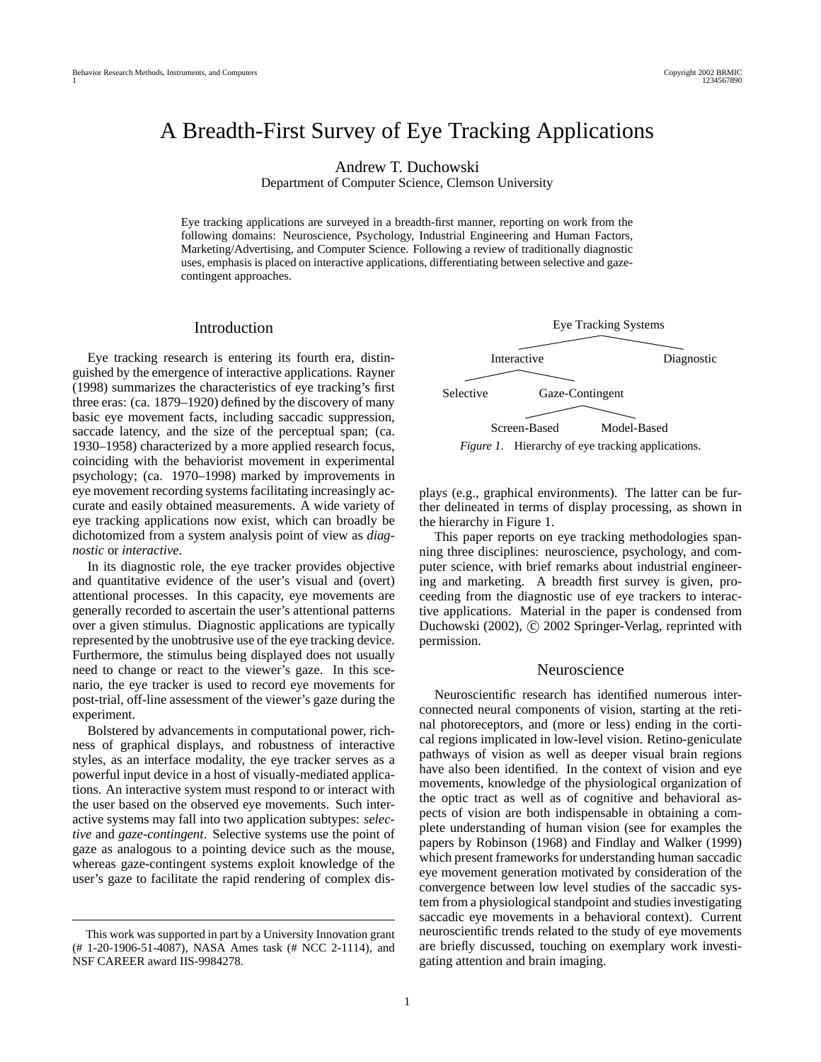# A Breadth-First Survey of Eye Tracking Applications

Andrew T. Duchowski

Department of Computer Science, Clemson University

Eye tracking applications are surveyed in a breadth-first manner, reporting on work from the following domains: Neuroscience, Psychology, Industrial Engineering and Human Factors, Marketing/Advertising, and Computer Science. Following a review of traditionally diagnostic uses, emphasis is placed on interactive applications, differentiating between selective and gazecontingent approaches.

## Introduction

Eye tracking research is entering its fourth era, distinguished by the emergence of interactive applications. Rayner (1998) summarizes the characteristics of eye tracking's first three eras: (ca. 1879–1920) defined by the discovery of many basic eye movement facts, including saccadic suppression, saccade latency, and the size of the perceptual span; (ca. 1930–1958) characterized by a more applied research focus, coinciding with the behaviorist movement in experimental psychology; (ca. 1970–1998) marked by improvements in eye movement recording systems facilitating increasingly accurate and easily obtained measurements. A wide variety of eye tracking applications now exist, which can broadly be dichotomized from a system analysis point of view as *diagnostic* or *interactive*.

In its diagnostic role, the eye tracker provides objective and quantitative evidence of the user's visual and (overt) attentional processes. In this capacity, eye movements are generally recorded to ascertain the user's attentional patterns over a given stimulus. Diagnostic applications are typically represented by the unobtrusive use of the eye tracking device. Furthermore, the stimulus being displayed does not usually need to change or react to the viewer's gaze. In this scenario, the eye tracker is used to record eye movements for post-trial, off-line assessment of the viewer's gaze during the experiment.

Bolstered by advancements in computational power, richness of graphical displays, and robustness of interactive styles, as an interface modality, the eye tracker serves as a powerful input device in a host of visually-mediated applications. An interactive system must respond to or interact with the user based on the observed eye movements. Such interactive systems may fall into two application subtypes: *selective* and *gaze-contingent*. Selective systems use the point of gaze as analogous to a pointing device such as the mouse, whereas gaze-contingent systems exploit knowledge of the user's gaze to facilitate the rapid rendering of complex dis-



plays (e.g., graphical environments). The latter can be further delineated in terms of display processing, as shown in the hierarchy in Figure 1.

This paper reports on eye tracking methodologies spanning three disciplines: neuroscience, psychology, and computer science, with brief remarks about industrial engineering and marketing. A breadth first survey is given, proceeding from the diagnostic use of eye trackers to interactive applications. Material in the paper is condensed from Duchowski (2002),  $\odot$  2002 Springer-Verlag, reprinted with permission.

#### Neuroscience

Neuroscientific research has identified numerous interconnected neural components of vision, starting at the retinal photoreceptors, and (more or less) ending in the cortical regions implicated in low-level vision. Retino-geniculate pathways of vision as well as deeper visual brain regions have also been identified. In the context of vision and eye movements, knowledge of the physiological organization of the optic tract as well as of cognitive and behavioral aspects of vision are both indispensable in obtaining a complete understanding of human vision (see for examples the papers by Robinson (1968) and Findlay and Walker (1999) which present frameworks for understanding human saccadic eye movement generation motivated by consideration of the convergence between low level studies of the saccadic system from a physiological standpoint and studies investigating saccadic eye movements in a behavioral context). Current neuroscientific trends related to the study of eye movements are briefly discussed, touching on exemplary work investigating attention and brain imaging.

This work was supported in part by a University Innovation grant (# 1-20-1906-51-4087), NASA Ames task (# NCC 2-1114), and NSF CAREER award IIS-9984278.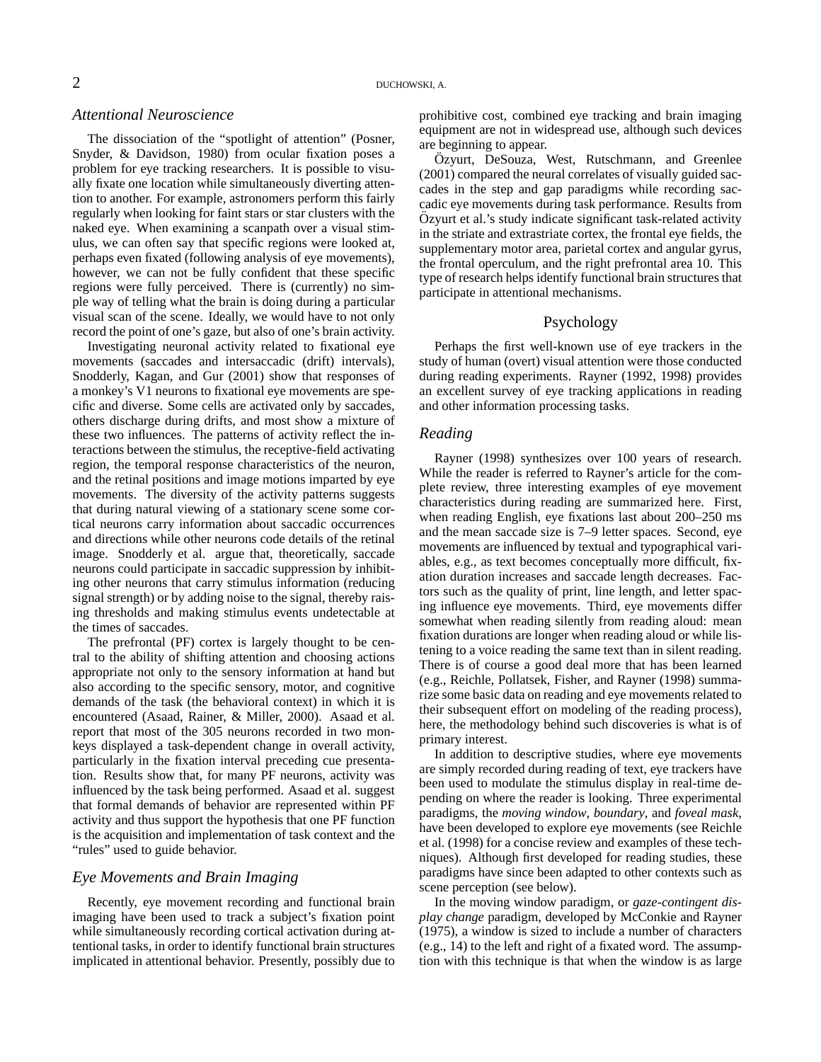## *Attentional Neuroscience*

The dissociation of the "spotlight of attention" (Posner, Snyder, & Davidson, 1980) from ocular fixation poses a problem for eye tracking researchers. It is possible to visually fixate one location while simultaneously diverting attention to another. For example, astronomers perform this fairly regularly when looking for faint stars or star clusters with the naked eye. When examining a scanpath over a visual stimulus, we can often say that specific regions were looked at, perhaps even fixated (following analysis of eye movements), however, we can not be fully confident that these specific regions were fully perceived. There is (currently) no simple way of telling what the brain is doing during a particular visual scan of the scene. Ideally, we would have to not only record the point of one's gaze, but also of one's brain activity.

Investigating neuronal activity related to fixational eye movements (saccades and intersaccadic (drift) intervals), Snodderly, Kagan, and Gur (2001) show that responses of a monkey's V1 neurons to fixational eye movements are specific and diverse. Some cells are activated only by saccades, others discharge during drifts, and most show a mixture of these two influences. The patterns of activity reflect the interactions between the stimulus, the receptive-field activating region, the temporal response characteristics of the neuron, and the retinal positions and image motions imparted by eye movements. The diversity of the activity patterns suggests that during natural viewing of a stationary scene some cortical neurons carry information about saccadic occurrences and directions while other neurons code details of the retinal image. Snodderly et al. argue that, theoretically, saccade neurons could participate in saccadic suppression by inhibiting other neurons that carry stimulus information (reducing signal strength) or by adding noise to the signal, thereby raising thresholds and making stimulus events undetectable at the times of saccades.

The prefrontal (PF) cortex is largely thought to be central to the ability of shifting attention and choosing actions appropriate not only to the sensory information at hand but also according to the specific sensory, motor, and cognitive demands of the task (the behavioral context) in which it is encountered (Asaad, Rainer, & Miller, 2000). Asaad et al. report that most of the 305 neurons recorded in two monkeys displayed a task-dependent change in overall activity, particularly in the fixation interval preceding cue presentation. Results show that, for many PF neurons, activity was influenced by the task being performed. Asaad et al. suggest that formal demands of behavior are represented within PF activity and thus support the hypothesis that one PF function is the acquisition and implementation of task context and the "rules" used to guide behavior.

## *Eye Movements and Brain Imaging*

Recently, eye movement recording and functional brain imaging have been used to track a subject's fixation point while simultaneously recording cortical activation during attentional tasks, in order to identify functional brain structures implicated in attentional behavior. Presently, possibly due to prohibitive cost, combined eye tracking and brain imaging equipment are not in widespread use, although such devices are beginning to appear.

Özyurt, DeSouza, West, Rutschmann, and Greenlee (2001) compared the neural correlates of visually guided saccades in the step and gap paradigms while recording saccadic eye movements during task performance. Results from Özyurt et al.'s study indicate significant task-related activity in the striate and extrastriate cortex, the frontal eye fields, the supplementary motor area, parietal cortex and angular gyrus, the frontal operculum, and the right prefrontal area 10. This type of research helps identify functional brain structures that participate in attentional mechanisms.

#### Psychology

Perhaps the first well-known use of eye trackers in the study of human (overt) visual attention were those conducted during reading experiments. Rayner (1992, 1998) provides an excellent survey of eye tracking applications in reading and other information processing tasks.

#### *Reading*

Rayner (1998) synthesizes over 100 years of research. While the reader is referred to Rayner's article for the complete review, three interesting examples of eye movement characteristics during reading are summarized here. First, when reading English, eye fixations last about 200–250 ms and the mean saccade size is 7–9 letter spaces. Second, eye movements are influenced by textual and typographical variables, e.g., as text becomes conceptually more difficult, fixation duration increases and saccade length decreases. Factors such as the quality of print, line length, and letter spacing influence eye movements. Third, eye movements differ somewhat when reading silently from reading aloud: mean fixation durations are longer when reading aloud or while listening to a voice reading the same text than in silent reading. There is of course a good deal more that has been learned (e.g., Reichle, Pollatsek, Fisher, and Rayner (1998) summarize some basic data on reading and eye movements related to their subsequent effort on modeling of the reading process), here, the methodology behind such discoveries is what is of primary interest.

In addition to descriptive studies, where eye movements are simply recorded during reading of text, eye trackers have been used to modulate the stimulus display in real-time depending on where the reader is looking. Three experimental paradigms, the *moving window*, *boundary*, and *foveal mask*, have been developed to explore eye movements (see Reichle et al. (1998) for a concise review and examples of these techniques). Although first developed for reading studies, these paradigms have since been adapted to other contexts such as scene perception (see below).

In the moving window paradigm, or *gaze-contingent display change* paradigm, developed by McConkie and Rayner (1975), a window is sized to include a number of characters (e.g., 14) to the left and right of a fixated word. The assumption with this technique is that when the window is as large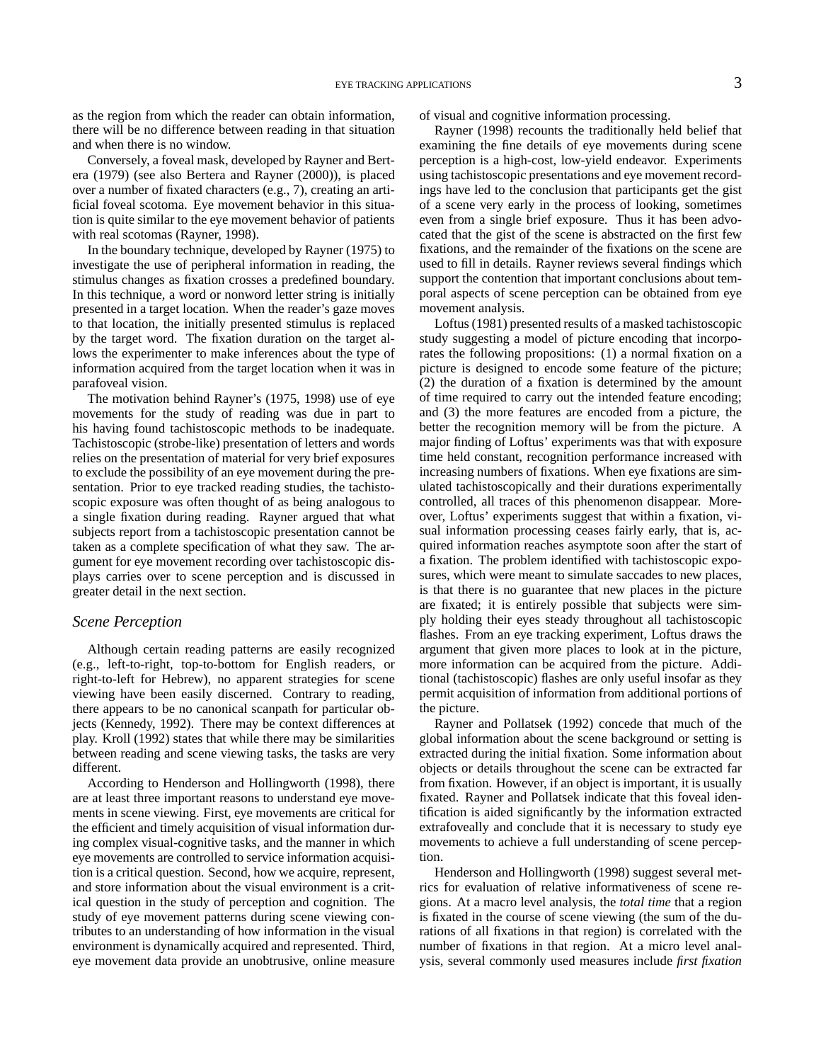as the region from which the reader can obtain information, there will be no difference between reading in that situation and when there is no window.

Conversely, a foveal mask, developed by Rayner and Bertera (1979) (see also Bertera and Rayner (2000)), is placed over a number of fixated characters (e.g., 7), creating an artificial foveal scotoma. Eye movement behavior in this situation is quite similar to the eye movement behavior of patients with real scotomas (Rayner, 1998).

In the boundary technique, developed by Rayner (1975) to investigate the use of peripheral information in reading, the stimulus changes as fixation crosses a predefined boundary. In this technique, a word or nonword letter string is initially presented in a target location. When the reader's gaze moves to that location, the initially presented stimulus is replaced by the target word. The fixation duration on the target allows the experimenter to make inferences about the type of information acquired from the target location when it was in parafoveal vision.

The motivation behind Rayner's (1975, 1998) use of eye movements for the study of reading was due in part to his having found tachistoscopic methods to be inadequate. Tachistoscopic (strobe-like) presentation of letters and words relies on the presentation of material for very brief exposures to exclude the possibility of an eye movement during the presentation. Prior to eye tracked reading studies, the tachistoscopic exposure was often thought of as being analogous to a single fixation during reading. Rayner argued that what subjects report from a tachistoscopic presentation cannot be taken as a complete specification of what they saw. The argument for eye movement recording over tachistoscopic displays carries over to scene perception and is discussed in greater detail in the next section.

#### *Scene Perception*

Although certain reading patterns are easily recognized (e.g., left-to-right, top-to-bottom for English readers, or right-to-left for Hebrew), no apparent strategies for scene viewing have been easily discerned. Contrary to reading, there appears to be no canonical scanpath for particular objects (Kennedy, 1992). There may be context differences at play. Kroll (1992) states that while there may be similarities between reading and scene viewing tasks, the tasks are very different.

According to Henderson and Hollingworth (1998), there are at least three important reasons to understand eye movements in scene viewing. First, eye movements are critical for the efficient and timely acquisition of visual information during complex visual-cognitive tasks, and the manner in which eye movements are controlled to service information acquisition is a critical question. Second, how we acquire, represent, and store information about the visual environment is a critical question in the study of perception and cognition. The study of eye movement patterns during scene viewing contributes to an understanding of how information in the visual environment is dynamically acquired and represented. Third, eye movement data provide an unobtrusive, online measure

of visual and cognitive information processing.

Rayner (1998) recounts the traditionally held belief that examining the fine details of eye movements during scene perception is a high-cost, low-yield endeavor. Experiments using tachistoscopic presentations and eye movement recordings have led to the conclusion that participants get the gist of a scene very early in the process of looking, sometimes even from a single brief exposure. Thus it has been advocated that the gist of the scene is abstracted on the first few fixations, and the remainder of the fixations on the scene are used to fill in details. Rayner reviews several findings which support the contention that important conclusions about temporal aspects of scene perception can be obtained from eye movement analysis.

Loftus(1981) presented results of a masked tachistoscopic study suggesting a model of picture encoding that incorporates the following propositions: (1) a normal fixation on a picture is designed to encode some feature of the picture; (2) the duration of a fixation is determined by the amount of time required to carry out the intended feature encoding; and (3) the more features are encoded from a picture, the better the recognition memory will be from the picture. A major finding of Loftus' experiments was that with exposure time held constant, recognition performance increased with increasing numbers of fixations. When eye fixations are simulated tachistoscopically and their durations experimentally controlled, all traces of this phenomenon disappear. Moreover, Loftus' experiments suggest that within a fixation, visual information processing ceases fairly early, that is, acquired information reaches asymptote soon after the start of a fixation. The problem identified with tachistoscopic exposures, which were meant to simulate saccades to new places, is that there is no guarantee that new places in the picture are fixated; it is entirely possible that subjects were simply holding their eyes steady throughout all tachistoscopic flashes. From an eye tracking experiment, Loftus draws the argument that given more places to look at in the picture, more information can be acquired from the picture. Additional (tachistoscopic) flashes are only useful insofar as they permit acquisition of information from additional portions of the picture.

Rayner and Pollatsek (1992) concede that much of the global information about the scene background or setting is extracted during the initial fixation. Some information about objects or details throughout the scene can be extracted far from fixation. However, if an object is important, it is usually fixated. Rayner and Pollatsek indicate that this foveal identification is aided significantly by the information extracted extrafoveally and conclude that it is necessary to study eye movements to achieve a full understanding of scene perception.

Henderson and Hollingworth (1998) suggest several metrics for evaluation of relative informativeness of scene regions. At a macro level analysis, the *total time* that a region is fixated in the course of scene viewing (the sum of the durations of all fixations in that region) is correlated with the number of fixations in that region. At a micro level analysis, several commonly used measures include *first fixation*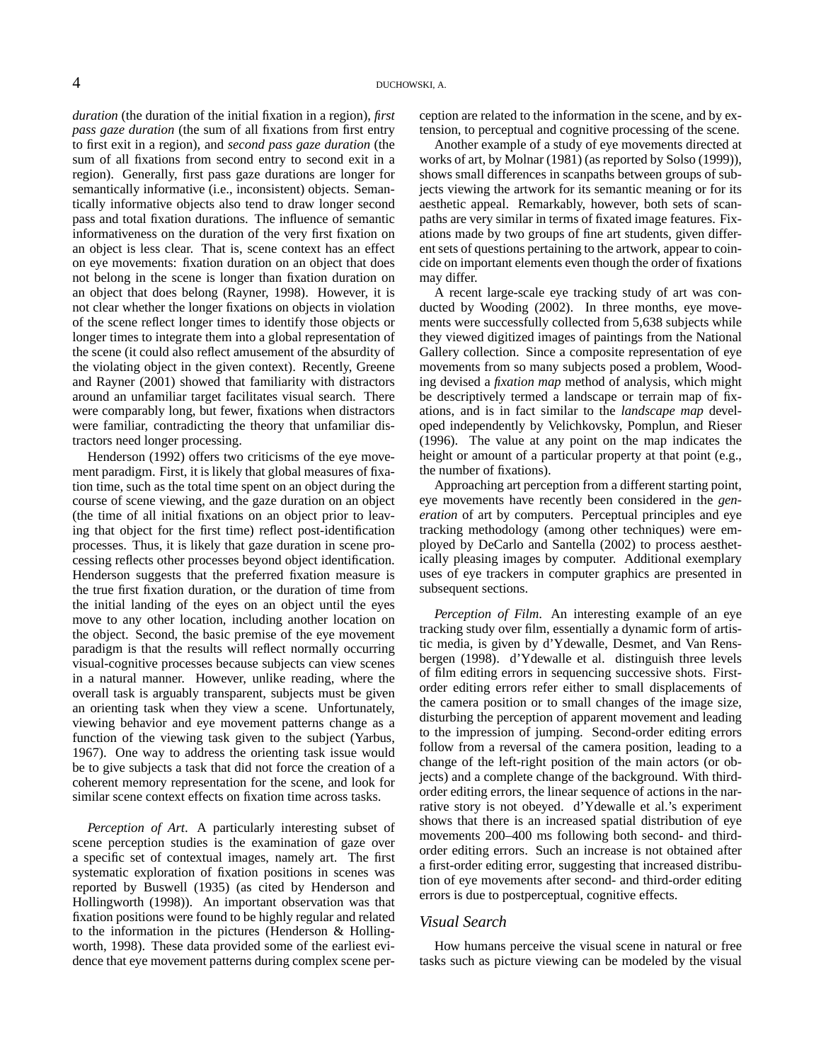*duration* (the duration of the initial fixation in a region), *first pass gaze duration* (the sum of all fixations from first entry to first exit in a region), and *second pass gaze duration* (the sum of all fixations from second entry to second exit in a region). Generally, first pass gaze durations are longer for semantically informative (i.e., inconsistent) objects. Semantically informative objects also tend to draw longer second pass and total fixation durations. The influence of semantic informativeness on the duration of the very first fixation on an object is less clear. That is, scene context has an effect on eye movements: fixation duration on an object that does not belong in the scene is longer than fixation duration on an object that does belong (Rayner, 1998). However, it is not clear whether the longer fixations on objects in violation of the scene reflect longer times to identify those objects or longer times to integrate them into a global representation of the scene (it could also reflect amusement of the absurdity of the violating object in the given context). Recently, Greene and Rayner (2001) showed that familiarity with distractors around an unfamiliar target facilitates visual search. There were comparably long, but fewer, fixations when distractors were familiar, contradicting the theory that unfamiliar distractors need longer processing.

Henderson (1992) offers two criticisms of the eye movement paradigm. First, it is likely that global measures of fixation time, such as the total time spent on an object during the course of scene viewing, and the gaze duration on an object (the time of all initial fixations on an object prior to leaving that object for the first time) reflect post-identification processes. Thus, it is likely that gaze duration in scene processing reflects other processes beyond object identification. Henderson suggests that the preferred fixation measure is the true first fixation duration, or the duration of time from the initial landing of the eyes on an object until the eyes move to any other location, including another location on the object. Second, the basic premise of the eye movement paradigm is that the results will reflect normally occurring visual-cognitive processes because subjects can view scenes in a natural manner. However, unlike reading, where the overall task is arguably transparent, subjects must be given an orienting task when they view a scene. Unfortunately, viewing behavior and eye movement patterns change as a function of the viewing task given to the subject (Yarbus, 1967). One way to address the orienting task issue would be to give subjects a task that did not force the creation of a coherent memory representation for the scene, and look for similar scene context effects on fixation time across tasks.

*Perception of Art*. A particularly interesting subset of scene perception studies is the examination of gaze over a specific set of contextual images, namely art. The first systematic exploration of fixation positions in scenes was reported by Buswell (1935) (as cited by Henderson and Hollingworth (1998)). An important observation was that fixation positions were found to be highly regular and related to the information in the pictures (Henderson & Hollingworth, 1998). These data provided some of the earliest evidence that eye movement patterns during complex scene perception are related to the information in the scene, and by extension, to perceptual and cognitive processing of the scene.

Another example of a study of eye movements directed at works of art, by Molnar (1981) (as reported by Solso (1999)), shows small differences in scanpaths between groups of subjects viewing the artwork for its semantic meaning or for its aesthetic appeal. Remarkably, however, both sets of scanpaths are very similar in terms of fixated image features. Fixations made by two groups of fine art students, given different sets of questions pertaining to the artwork, appear to coincide on important elements even though the order of fixations may differ.

A recent large-scale eye tracking study of art was conducted by Wooding (2002). In three months, eye movements were successfully collected from 5,638 subjects while they viewed digitized images of paintings from the National Gallery collection. Since a composite representation of eye movements from so many subjects posed a problem, Wooding devised a *fixation map* method of analysis, which might be descriptively termed a landscape or terrain map of fixations, and is in fact similar to the *landscape map* developed independently by Velichkovsky, Pomplun, and Rieser (1996). The value at any point on the map indicates the height or amount of a particular property at that point (e.g., the number of fixations).

Approaching art perception from a different starting point, eye movements have recently been considered in the *generation* of art by computers. Perceptual principles and eye tracking methodology (among other techniques) were employed by DeCarlo and Santella (2002) to process aesthetically pleasing images by computer. Additional exemplary uses of eye trackers in computer graphics are presented in subsequent sections.

*Perception of Film*. An interesting example of an eye tracking study over film, essentially a dynamic form of artistic media, is given by d'Ydewalle, Desmet, and Van Rensbergen (1998). d'Ydewalle et al. distinguish three levels of film editing errors in sequencing successive shots. Firstorder editing errors refer either to small displacements of the camera position or to small changes of the image size, disturbing the perception of apparent movement and leading to the impression of jumping. Second-order editing errors follow from a reversal of the camera position, leading to a change of the left-right position of the main actors (or objects) and a complete change of the background. With thirdorder editing errors, the linear sequence of actions in the narrative story is not obeyed. d'Ydewalle et al.'s experiment shows that there is an increased spatial distribution of eye movements 200–400 ms following both second- and thirdorder editing errors. Such an increase is not obtained after a first-order editing error, suggesting that increased distribution of eye movements after second- and third-order editing errors is due to postperceptual, cognitive effects.

#### *Visual Search*

How humans perceive the visual scene in natural or free tasks such as picture viewing can be modeled by the visual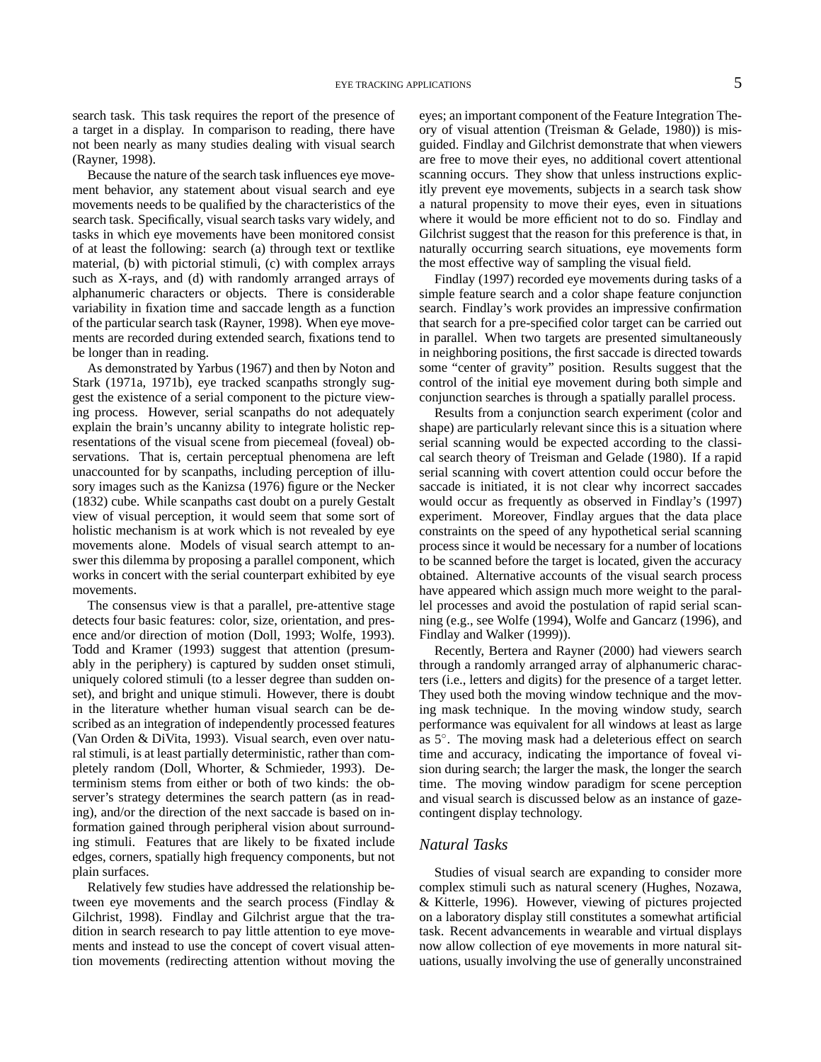search task. This task requires the report of the presence of a target in a display. In comparison to reading, there have not been nearly as many studies dealing with visual search (Rayner, 1998).

Because the nature of the search task influences eye movement behavior, any statement about visual search and eye movements needs to be qualified by the characteristics of the search task. Specifically, visual search tasks vary widely, and tasks in which eye movements have been monitored consist of at least the following: search (a) through text or textlike material, (b) with pictorial stimuli, (c) with complex arrays such as X-rays, and (d) with randomly arranged arrays of alphanumeric characters or objects. There is considerable variability in fixation time and saccade length as a function of the particular search task (Rayner, 1998). When eye movements are recorded during extended search, fixations tend to be longer than in reading.

As demonstrated by Yarbus (1967) and then by Noton and Stark (1971a, 1971b), eye tracked scanpaths strongly suggest the existence of a serial component to the picture viewing process. However, serial scanpaths do not adequately explain the brain's uncanny ability to integrate holistic representations of the visual scene from piecemeal (foveal) observations. That is, certain perceptual phenomena are left unaccounted for by scanpaths, including perception of illusory images such as the Kanizsa (1976) figure or the Necker (1832) cube. While scanpaths cast doubt on a purely Gestalt view of visual perception, it would seem that some sort of holistic mechanism is at work which is not revealed by eye movements alone. Models of visual search attempt to answer this dilemma by proposing a parallel component, which works in concert with the serial counterpart exhibited by eye movements.

The consensus view is that a parallel, pre-attentive stage detects four basic features: color, size, orientation, and presence and/or direction of motion (Doll, 1993; Wolfe, 1993). Todd and Kramer (1993) suggest that attention (presumably in the periphery) is captured by sudden onset stimuli, uniquely colored stimuli (to a lesser degree than sudden onset), and bright and unique stimuli. However, there is doubt in the literature whether human visual search can be described as an integration of independently processed features (Van Orden & DiVita, 1993). Visual search, even over natural stimuli, is at least partially deterministic, rather than completely random (Doll, Whorter, & Schmieder, 1993). Determinism stems from either or both of two kinds: the observer's strategy determines the search pattern (as in reading), and/or the direction of the next saccade is based on information gained through peripheral vision about surrounding stimuli. Features that are likely to be fixated include edges, corners, spatially high frequency components, but not plain surfaces.

Relatively few studies have addressed the relationship between eye movements and the search process (Findlay & Gilchrist, 1998). Findlay and Gilchrist argue that the tradition in search research to pay little attention to eye movements and instead to use the concept of covert visual attention movements (redirecting attention without moving the eyes; an important component of the Feature Integration Theory of visual attention (Treisman & Gelade, 1980)) is misguided. Findlay and Gilchrist demonstrate that when viewers are free to move their eyes, no additional covert attentional scanning occurs. They show that unless instructions explicitly prevent eye movements, subjects in a search task show a natural propensity to move their eyes, even in situations where it would be more efficient not to do so. Findlay and Gilchrist suggest that the reason for this preference is that, in naturally occurring search situations, eye movements form the most effective way of sampling the visual field.

Findlay (1997) recorded eye movements during tasks of a simple feature search and a color shape feature conjunction search. Findlay's work provides an impressive confirmation that search for a pre-specified color target can be carried out in parallel. When two targets are presented simultaneously in neighboring positions, the first saccade is directed towards some "center of gravity" position. Results suggest that the control of the initial eye movement during both simple and conjunction searches is through a spatially parallel process.

Results from a conjunction search experiment (color and shape) are particularly relevant since this is a situation where serial scanning would be expected according to the classical search theory of Treisman and Gelade (1980). If a rapid serial scanning with covert attention could occur before the saccade is initiated, it is not clear why incorrect saccades would occur as frequently as observed in Findlay's (1997) experiment. Moreover, Findlay argues that the data place constraints on the speed of any hypothetical serial scanning process since it would be necessary for a number of locations to be scanned before the target is located, given the accuracy obtained. Alternative accounts of the visual search process have appeared which assign much more weight to the parallel processes and avoid the postulation of rapid serial scanning (e.g., see Wolfe (1994), Wolfe and Gancarz (1996), and Findlay and Walker (1999)).

Recently, Bertera and Rayner (2000) had viewers search through a randomly arranged array of alphanumeric characters (i.e., letters and digits) for the presence of a target letter. They used both the moving window technique and the moving mask technique. In the moving window study, search performance was equivalent for all windows at least as large as 5°. The moving mask had a deleterious effect on search time and accuracy, indicating the importance of foveal vision during search; the larger the mask, the longer the search time. The moving window paradigm for scene perception and visual search is discussed below as an instance of gazecontingent display technology.

## *Natural Tasks*

Studies of visual search are expanding to consider more complex stimuli such as natural scenery (Hughes, Nozawa, & Kitterle, 1996). However, viewing of pictures projected on a laboratory display still constitutes a somewhat artificial task. Recent advancements in wearable and virtual displays now allow collection of eye movements in more natural situations, usually involving the use of generally unconstrained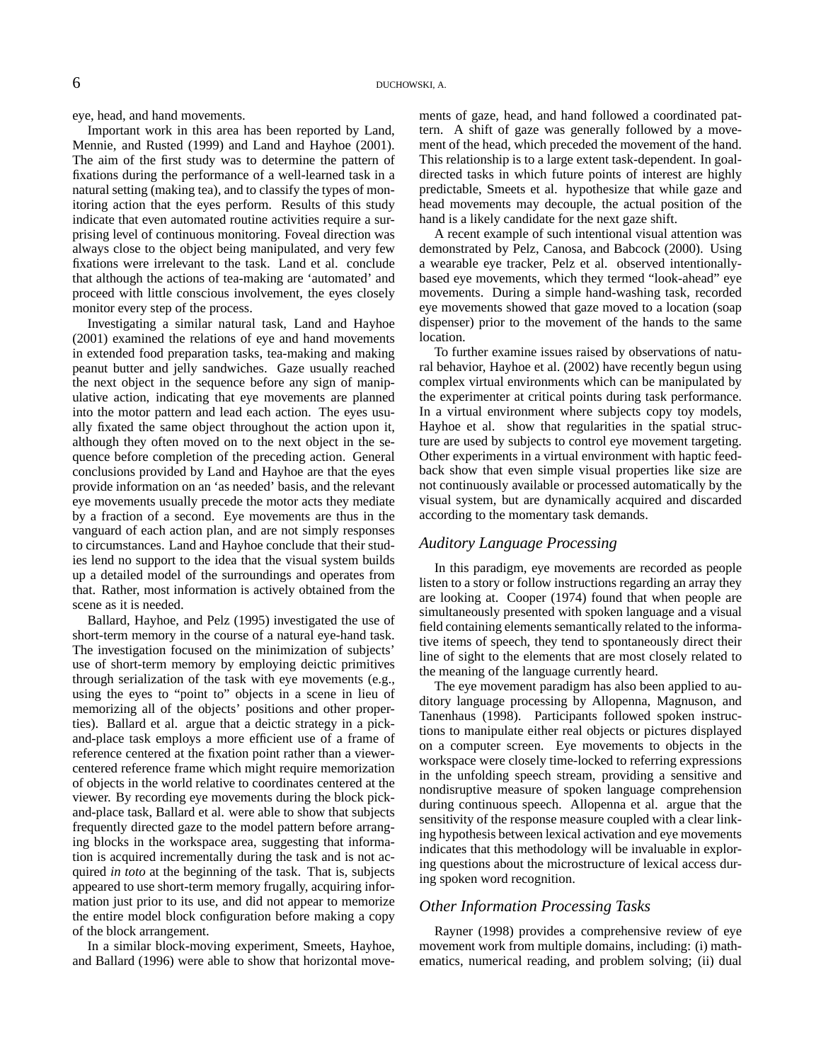eye, head, and hand movements.

Important work in this area has been reported by Land, Mennie, and Rusted (1999) and Land and Hayhoe (2001). The aim of the first study was to determine the pattern of fixations during the performance of a well-learned task in a natural setting (making tea), and to classify the types of monitoring action that the eyes perform. Results of this study indicate that even automated routine activities require a surprising level of continuous monitoring. Foveal direction was always close to the object being manipulated, and very few fixations were irrelevant to the task. Land et al. conclude that although the actions of tea-making are 'automated' and proceed with little conscious involvement, the eyes closely monitor every step of the process.

Investigating a similar natural task, Land and Hayhoe (2001) examined the relations of eye and hand movements in extended food preparation tasks, tea-making and making peanut butter and jelly sandwiches. Gaze usually reached the next object in the sequence before any sign of manipulative action, indicating that eye movements are planned into the motor pattern and lead each action. The eyes usually fixated the same object throughout the action upon it, although they often moved on to the next object in the sequence before completion of the preceding action. General conclusions provided by Land and Hayhoe are that the eyes provide information on an 'as needed' basis, and the relevant eye movements usually precede the motor acts they mediate by a fraction of a second. Eye movements are thus in the vanguard of each action plan, and are not simply responses to circumstances. Land and Hayhoe conclude that their studies lend no support to the idea that the visual system builds up a detailed model of the surroundings and operates from that. Rather, most information is actively obtained from the scene as it is needed.

Ballard, Hayhoe, and Pelz (1995) investigated the use of short-term memory in the course of a natural eye-hand task. The investigation focused on the minimization of subjects' use of short-term memory by employing deictic primitives through serialization of the task with eye movements (e.g., using the eyes to "point to" objects in a scene in lieu of memorizing all of the objects' positions and other properties). Ballard et al. argue that a deictic strategy in a pickand-place task employs a more efficient use of a frame of reference centered at the fixation point rather than a viewercentered reference frame which might require memorization of objects in the world relative to coordinates centered at the viewer. By recording eye movements during the block pickand-place task, Ballard et al. were able to show that subjects frequently directed gaze to the model pattern before arranging blocks in the workspace area, suggesting that information is acquired incrementally during the task and is not acquired *in toto* at the beginning of the task. That is, subjects appeared to use short-term memory frugally, acquiring information just prior to its use, and did not appear to memorize the entire model block configuration before making a copy of the block arrangement.

In a similar block-moving experiment, Smeets, Hayhoe, and Ballard (1996) were able to show that horizontal movements of gaze, head, and hand followed a coordinated pattern. A shift of gaze was generally followed by a movement of the head, which preceded the movement of the hand. This relationship is to a large extent task-dependent. In goaldirected tasks in which future points of interest are highly predictable, Smeets et al. hypothesize that while gaze and head movements may decouple, the actual position of the hand is a likely candidate for the next gaze shift.

A recent example of such intentional visual attention was demonstrated by Pelz, Canosa, and Babcock (2000). Using a wearable eye tracker, Pelz et al. observed intentionallybased eye movements, which they termed "look-ahead" eye movements. During a simple hand-washing task, recorded eye movements showed that gaze moved to a location (soap dispenser) prior to the movement of the hands to the same location.

To further examine issues raised by observations of natural behavior, Hayhoe et al. (2002) have recently begun using complex virtual environments which can be manipulated by the experimenter at critical points during task performance. In a virtual environment where subjects copy toy models, Hayhoe et al. show that regularities in the spatial structure are used by subjects to control eye movement targeting. Other experiments in a virtual environment with haptic feedback show that even simple visual properties like size are not continuously available or processed automatically by the visual system, but are dynamically acquired and discarded according to the momentary task demands.

# *Auditory Language Processing*

In this paradigm, eye movements are recorded as people listen to a story or follow instructions regarding an array they are looking at. Cooper (1974) found that when people are simultaneously presented with spoken language and a visual field containing elements semantically related to the informative items of speech, they tend to spontaneously direct their line of sight to the elements that are most closely related to the meaning of the language currently heard.

The eye movement paradigm has also been applied to auditory language processing by Allopenna, Magnuson, and Tanenhaus (1998). Participants followed spoken instructions to manipulate either real objects or pictures displayed on a computer screen. Eye movements to objects in the workspace were closely time-locked to referring expressions in the unfolding speech stream, providing a sensitive and nondisruptive measure of spoken language comprehension during continuous speech. Allopenna et al. argue that the sensitivity of the response measure coupled with a clear linking hypothesis between lexical activation and eye movements indicates that this methodology will be invaluable in exploring questions about the microstructure of lexical access during spoken word recognition.

## *Other Information Processing Tasks*

Rayner (1998) provides a comprehensive review of eye movement work from multiple domains, including: (i) mathematics, numerical reading, and problem solving; (ii) dual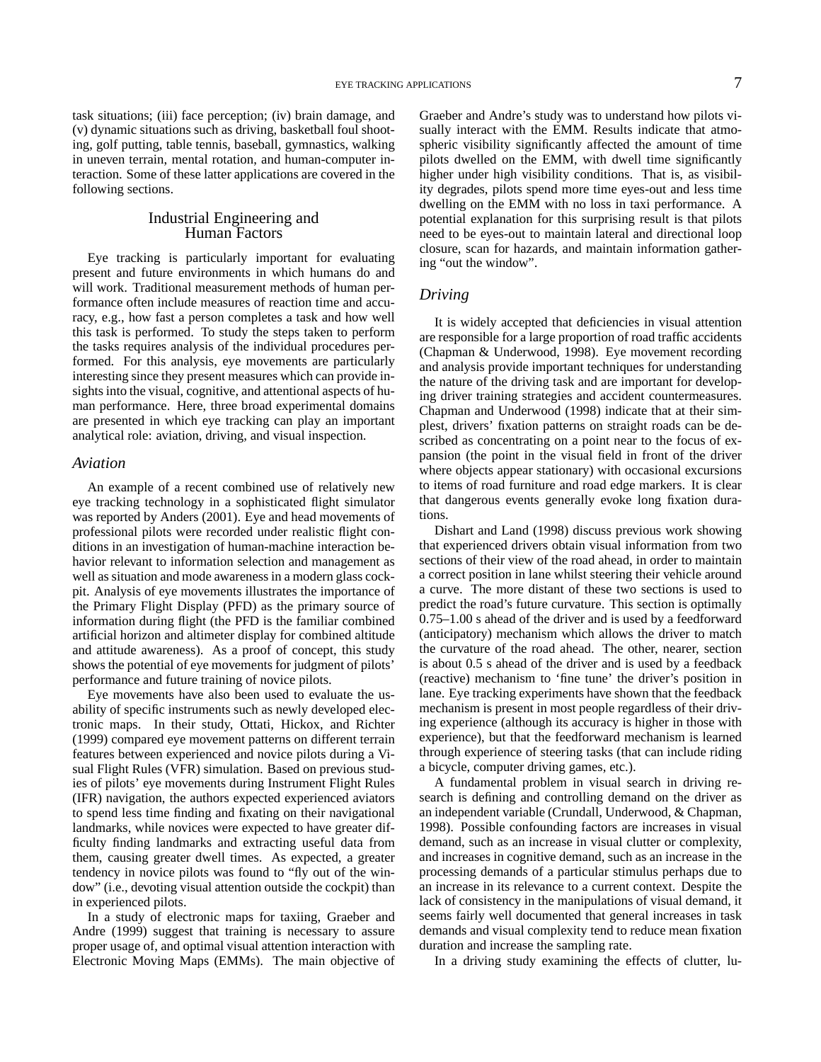task situations; (iii) face perception; (iv) brain damage, and (v) dynamic situations such as driving, basketball foul shooting, golf putting, table tennis, baseball, gymnastics, walking in uneven terrain, mental rotation, and human-computer interaction. Some of these latter applications are covered in the following sections.

#### Industrial Engineering and Human Factors

Eye tracking is particularly important for evaluating present and future environments in which humans do and will work. Traditional measurement methods of human performance often include measures of reaction time and accuracy, e.g., how fast a person completes a task and how well this task is performed. To study the steps taken to perform the tasks requires analysis of the individual procedures performed. For this analysis, eye movements are particularly interesting since they present measures which can provide insights into the visual, cognitive, and attentional aspects of human performance. Here, three broad experimental domains are presented in which eye tracking can play an important analytical role: aviation, driving, and visual inspection.

#### *Aviation*

An example of a recent combined use of relatively new eye tracking technology in a sophisticated flight simulator was reported by Anders (2001). Eye and head movements of professional pilots were recorded under realistic flight conditions in an investigation of human-machine interaction behavior relevant to information selection and management as well as situation and mode awareness in a modern glass cockpit. Analysis of eye movements illustrates the importance of the Primary Flight Display (PFD) as the primary source of information during flight (the PFD is the familiar combined artificial horizon and altimeter display for combined altitude and attitude awareness). As a proof of concept, this study shows the potential of eye movements for judgment of pilots' performance and future training of novice pilots.

Eye movements have also been used to evaluate the usability of specific instruments such as newly developed electronic maps. In their study, Ottati, Hickox, and Richter (1999) compared eye movement patterns on different terrain features between experienced and novice pilots during a Visual Flight Rules (VFR) simulation. Based on previous studies of pilots' eye movements during Instrument Flight Rules (IFR) navigation, the authors expected experienced aviators to spend less time finding and fixating on their navigational landmarks, while novices were expected to have greater difficulty finding landmarks and extracting useful data from them, causing greater dwell times. As expected, a greater tendency in novice pilots was found to "fly out of the window" (i.e., devoting visual attention outside the cockpit) than in experienced pilots.

In a study of electronic maps for taxiing, Graeber and Andre (1999) suggest that training is necessary to assure proper usage of, and optimal visual attention interaction with Electronic Moving Maps (EMMs). The main objective of Graeber and Andre's study was to understand how pilots visually interact with the EMM. Results indicate that atmospheric visibility significantly affected the amount of time pilots dwelled on the EMM, with dwell time significantly higher under high visibility conditions. That is, as visibility degrades, pilots spend more time eyes-out and less time dwelling on the EMM with no loss in taxi performance. A potential explanation for this surprising result is that pilots need to be eyes-out to maintain lateral and directional loop closure, scan for hazards, and maintain information gathering "out the window".

# *Driving*

It is widely accepted that deficiencies in visual attention are responsible for a large proportion of road traffic accidents (Chapman & Underwood, 1998). Eye movement recording and analysis provide important techniques for understanding the nature of the driving task and are important for developing driver training strategies and accident countermeasures. Chapman and Underwood (1998) indicate that at their simplest, drivers' fixation patterns on straight roads can be described as concentrating on a point near to the focus of expansion (the point in the visual field in front of the driver where objects appear stationary) with occasional excursions to items of road furniture and road edge markers. It is clear that dangerous events generally evoke long fixation durations.

Dishart and Land (1998) discuss previous work showing that experienced drivers obtain visual information from two sections of their view of the road ahead, in order to maintain a correct position in lane whilst steering their vehicle around a curve. The more distant of these two sections is used to predict the road's future curvature. This section is optimally 0.75–1.00 s ahead of the driver and is used by a feedforward (anticipatory) mechanism which allows the driver to match the curvature of the road ahead. The other, nearer, section is about 0.5 s ahead of the driver and is used by a feedback (reactive) mechanism to 'fine tune' the driver's position in lane. Eye tracking experiments have shown that the feedback mechanism is present in most people regardless of their driving experience (although its accuracy is higher in those with experience), but that the feedforward mechanism is learned through experience of steering tasks (that can include riding a bicycle, computer driving games, etc.).

A fundamental problem in visual search in driving research is defining and controlling demand on the driver as an independent variable (Crundall, Underwood, & Chapman, 1998). Possible confounding factors are increases in visual demand, such as an increase in visual clutter or complexity, and increases in cognitive demand, such as an increase in the processing demands of a particular stimulus perhaps due to an increase in its relevance to a current context. Despite the lack of consistency in the manipulations of visual demand, it seems fairly well documented that general increases in task demands and visual complexity tend to reduce mean fixation duration and increase the sampling rate.

In a driving study examining the effects of clutter, lu-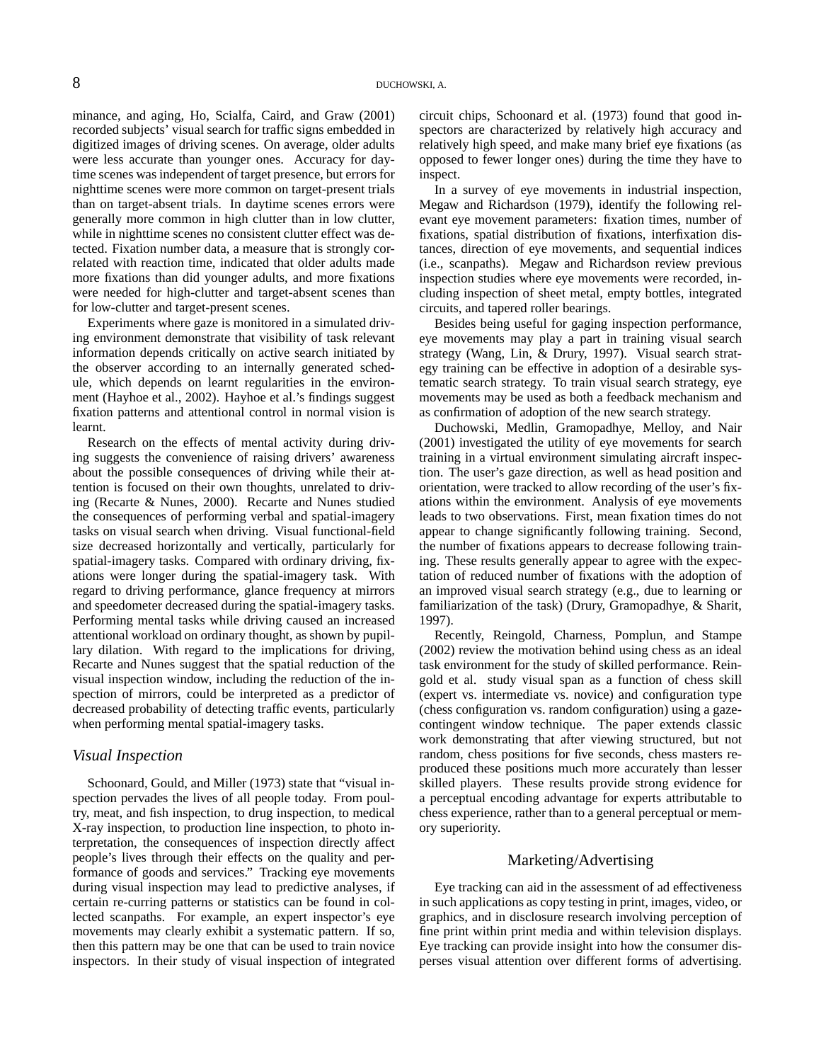minance, and aging, Ho, Scialfa, Caird, and Graw (2001) recorded subjects' visual search for traffic signs embedded in digitized images of driving scenes. On average, older adults were less accurate than younger ones. Accuracy for daytime scenes was independent of target presence, but errors for nighttime scenes were more common on target-present trials than on target-absent trials. In daytime scenes errors were generally more common in high clutter than in low clutter, while in nighttime scenes no consistent clutter effect was detected. Fixation number data, a measure that is strongly correlated with reaction time, indicated that older adults made more fixations than did younger adults, and more fixations were needed for high-clutter and target-absent scenes than for low-clutter and target-present scenes.

Experiments where gaze is monitored in a simulated driving environment demonstrate that visibility of task relevant information depends critically on active search initiated by the observer according to an internally generated schedule, which depends on learnt regularities in the environment (Hayhoe et al., 2002). Hayhoe et al.'s findings suggest fixation patterns and attentional control in normal vision is learnt.

Research on the effects of mental activity during driving suggests the convenience of raising drivers' awareness about the possible consequences of driving while their attention is focused on their own thoughts, unrelated to driving (Recarte & Nunes, 2000). Recarte and Nunes studied the consequences of performing verbal and spatial-imagery tasks on visual search when driving. Visual functional-field size decreased horizontally and vertically, particularly for spatial-imagery tasks. Compared with ordinary driving, fixations were longer during the spatial-imagery task. With regard to driving performance, glance frequency at mirrors and speedometer decreased during the spatial-imagery tasks. Performing mental tasks while driving caused an increased attentional workload on ordinary thought, as shown by pupillary dilation. With regard to the implications for driving, Recarte and Nunes suggest that the spatial reduction of the visual inspection window, including the reduction of the inspection of mirrors, could be interpreted as a predictor of decreased probability of detecting traffic events, particularly when performing mental spatial-imagery tasks.

#### *Visual Inspection*

Schoonard, Gould, and Miller (1973) state that "visual inspection pervades the lives of all people today. From poultry, meat, and fish inspection, to drug inspection, to medical X-ray inspection, to production line inspection, to photo interpretation, the consequences of inspection directly affect people's lives through their effects on the quality and performance of goods and services." Tracking eye movements during visual inspection may lead to predictive analyses, if certain re-curring patterns or statistics can be found in collected scanpaths. For example, an expert inspector's eye movements may clearly exhibit a systematic pattern. If so, then this pattern may be one that can be used to train novice inspectors. In their study of visual inspection of integrated circuit chips, Schoonard et al. (1973) found that good inspectors are characterized by relatively high accuracy and relatively high speed, and make many brief eye fixations (as opposed to fewer longer ones) during the time they have to inspect.

In a survey of eye movements in industrial inspection, Megaw and Richardson (1979), identify the following relevant eye movement parameters: fixation times, number of fixations, spatial distribution of fixations, interfixation distances, direction of eye movements, and sequential indices (i.e., scanpaths). Megaw and Richardson review previous inspection studies where eye movements were recorded, including inspection of sheet metal, empty bottles, integrated circuits, and tapered roller bearings.

Besides being useful for gaging inspection performance, eye movements may play a part in training visual search strategy (Wang, Lin, & Drury, 1997). Visual search strategy training can be effective in adoption of a desirable systematic search strategy. To train visual search strategy, eye movements may be used as both a feedback mechanism and as confirmation of adoption of the new search strategy.

Duchowski, Medlin, Gramopadhye, Melloy, and Nair (2001) investigated the utility of eye movements for search training in a virtual environment simulating aircraft inspection. The user's gaze direction, as well as head position and orientation, were tracked to allow recording of the user's fixations within the environment. Analysis of eye movements leads to two observations. First, mean fixation times do not appear to change significantly following training. Second, the number of fixations appears to decrease following training. These results generally appear to agree with the expectation of reduced number of fixations with the adoption of an improved visual search strategy (e.g., due to learning or familiarization of the task) (Drury, Gramopadhye, & Sharit, 1997).

Recently, Reingold, Charness, Pomplun, and Stampe (2002) review the motivation behind using chess as an ideal task environment for the study of skilled performance. Reingold et al. study visual span as a function of chess skill (expert vs. intermediate vs. novice) and configuration type (chess configuration vs. random configuration) using a gazecontingent window technique. The paper extends classic work demonstrating that after viewing structured, but not random, chess positions for five seconds, chess masters reproduced these positions much more accurately than lesser skilled players. These results provide strong evidence for a perceptual encoding advantage for experts attributable to chess experience, rather than to a general perceptual or memory superiority.

#### Marketing/Advertising

Eye tracking can aid in the assessment of ad effectiveness in such applications as copy testing in print, images, video, or graphics, and in disclosure research involving perception of fine print within print media and within television displays. Eye tracking can provide insight into how the consumer disperses visual attention over different forms of advertising.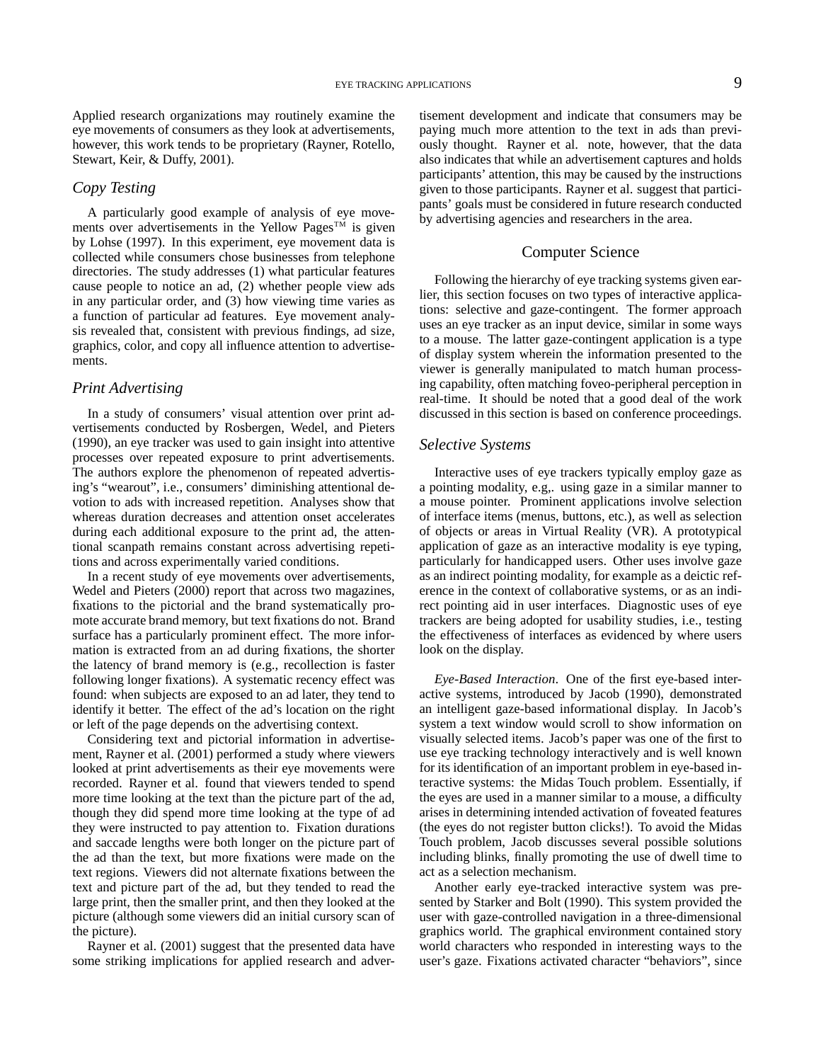#### *Copy Testing*

A particularly good example of analysis of eye movements over advertisements in the Yellow Pages<sup>TM</sup> is given by Lohse (1997). In this experiment, eye movement data is collected while consumers chose businesses from telephone directories. The study addresses (1) what particular features cause people to notice an ad, (2) whether people view ads in any particular order, and (3) how viewing time varies as a function of particular ad features. Eye movement analysis revealed that, consistent with previous findings, ad size, graphics, color, and copy all influence attention to advertisements.

#### *Print Advertising*

In a study of consumers' visual attention over print advertisements conducted by Rosbergen, Wedel, and Pieters (1990), an eye tracker was used to gain insight into attentive processes over repeated exposure to print advertisements. The authors explore the phenomenon of repeated advertising's "wearout", i.e., consumers' diminishing attentional devotion to ads with increased repetition. Analyses show that whereas duration decreases and attention onset accelerates during each additional exposure to the print ad, the attentional scanpath remains constant across advertising repetitions and across experimentally varied conditions.

In a recent study of eye movements over advertisements, Wedel and Pieters (2000) report that across two magazines, fixations to the pictorial and the brand systematically promote accurate brand memory, but text fixations do not. Brand surface has a particularly prominent effect. The more information is extracted from an ad during fixations, the shorter the latency of brand memory is (e.g., recollection is faster following longer fixations). A systematic recency effect was found: when subjects are exposed to an ad later, they tend to identify it better. The effect of the ad's location on the right or left of the page depends on the advertising context.

Considering text and pictorial information in advertisement, Rayner et al. (2001) performed a study where viewers looked at print advertisements as their eye movements were recorded. Rayner et al. found that viewers tended to spend more time looking at the text than the picture part of the ad, though they did spend more time looking at the type of ad they were instructed to pay attention to. Fixation durations and saccade lengths were both longer on the picture part of the ad than the text, but more fixations were made on the text regions. Viewers did not alternate fixations between the text and picture part of the ad, but they tended to read the large print, then the smaller print, and then they looked at the picture (although some viewers did an initial cursory scan of the picture).

Rayner et al. (2001) suggest that the presented data have some striking implications for applied research and advertisement development and indicate that consumers may be paying much more attention to the text in ads than previously thought. Rayner et al. note, however, that the data also indicates that while an advertisement captures and holds participants' attention, this may be caused by the instructions given to those participants. Rayner et al. suggest that participants' goals must be considered in future research conducted by advertising agencies and researchers in the area.

## Computer Science

Following the hierarchy of eye tracking systems given earlier, this section focuses on two types of interactive applications: selective and gaze-contingent. The former approach uses an eye tracker as an input device, similar in some ways to a mouse. The latter gaze-contingent application is a type of display system wherein the information presented to the viewer is generally manipulated to match human processing capability, often matching foveo-peripheral perception in real-time. It should be noted that a good deal of the work discussed in this section is based on conference proceedings.

#### *Selective Systems*

Interactive uses of eye trackers typically employ gaze as a pointing modality, e.g,. using gaze in a similar manner to a mouse pointer. Prominent applications involve selection of interface items (menus, buttons, etc.), as well as selection of objects or areas in Virtual Reality (VR). A prototypical application of gaze as an interactive modality is eye typing, particularly for handicapped users. Other uses involve gaze as an indirect pointing modality, for example as a deictic reference in the context of collaborative systems, or as an indirect pointing aid in user interfaces. Diagnostic uses of eye trackers are being adopted for usability studies, i.e., testing the effectiveness of interfaces as evidenced by where users look on the display.

*Eye-Based Interaction*. One of the first eye-based interactive systems, introduced by Jacob (1990), demonstrated an intelligent gaze-based informational display. In Jacob's system a text window would scroll to show information on visually selected items. Jacob's paper was one of the first to use eye tracking technology interactively and is well known for its identification of an important problem in eye-based interactive systems: the Midas Touch problem. Essentially, if the eyes are used in a manner similar to a mouse, a difficulty arises in determining intended activation of foveated features (the eyes do not register button clicks!). To avoid the Midas Touch problem, Jacob discusses several possible solutions including blinks, finally promoting the use of dwell time to act as a selection mechanism.

Another early eye-tracked interactive system was presented by Starker and Bolt (1990). This system provided the user with gaze-controlled navigation in a three-dimensional graphics world. The graphical environment contained story world characters who responded in interesting ways to the user's gaze. Fixations activated character "behaviors", since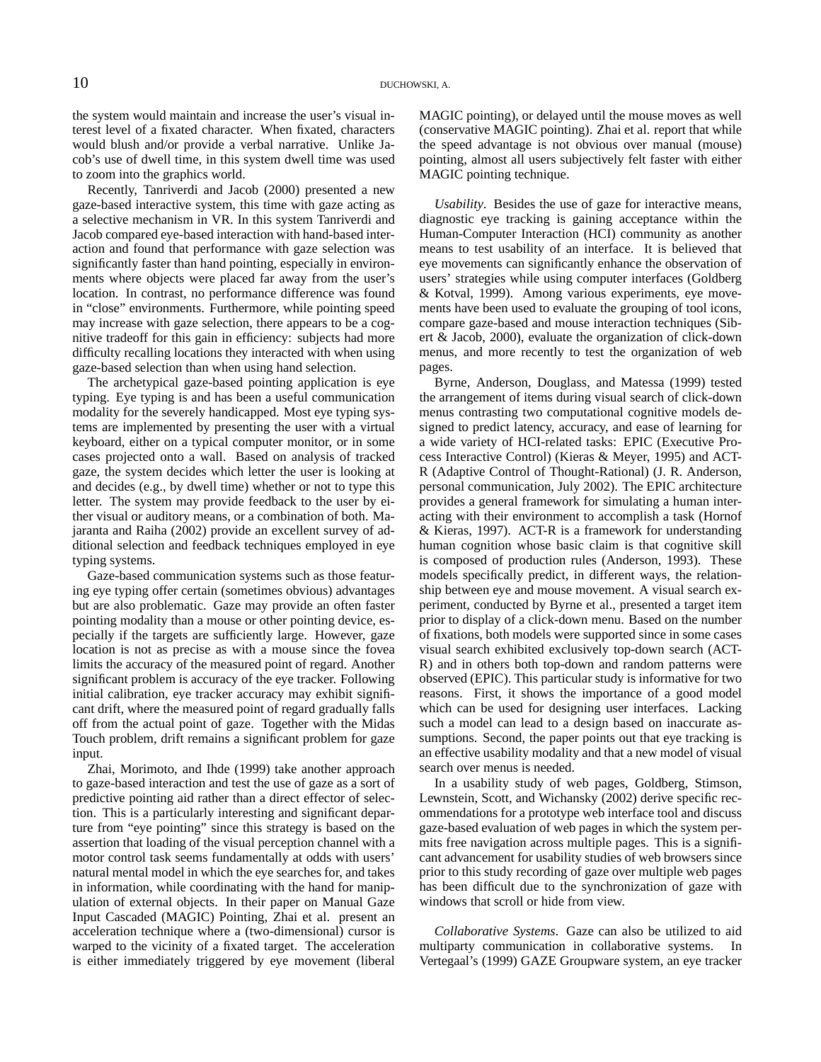the system would maintain and increase the user's visual interest level of a fixated character. When fixated, characters would blush and/or provide a verbal narrative. Unlike Jacob's use of dwell time, in this system dwell time was used to zoom into the graphics world.

Recently, Tanriverdi and Jacob (2000) presented a new gaze-based interactive system, this time with gaze acting as a selective mechanism in VR. In this system Tanriverdi and Jacob compared eye-based interaction with hand-based interaction and found that performance with gaze selection was significantly faster than hand pointing, especially in environments where objects were placed far away from the user's location. In contrast, no performance difference was found in "close" environments. Furthermore, while pointing speed may increase with gaze selection, there appears to be a cognitive tradeoff for this gain in efficiency: subjects had more difficulty recalling locations they interacted with when using gaze-based selection than when using hand selection.

The archetypical gaze-based pointing application is eye typing. Eye typing is and has been a useful communication modality for the severely handicapped. Most eye typing systems are implemented by presenting the user with a virtual keyboard, either on a typical computer monitor, or in some cases projected onto a wall. Based on analysis of tracked gaze, the system decides which letter the user is looking at and decides (e.g., by dwell time) whether or not to type this letter. The system may provide feedback to the user by either visual or auditory means, or a combination of both. Majaranta and Raiha (2002) provide an excellent survey of additional selection and feedback techniques employed in eye typing systems.

Gaze-based communication systems such as those featuring eye typing offer certain (sometimes obvious) advantages but are also problematic. Gaze may provide an often faster pointing modality than a mouse or other pointing device, especially if the targets are sufficiently large. However, gaze location is not as precise as with a mouse since the fovea limits the accuracy of the measured point of regard. Another significant problem is accuracy of the eye tracker. Following initial calibration, eye tracker accuracy may exhibit significant drift, where the measured point of regard gradually falls off from the actual point of gaze. Together with the Midas Touch problem, drift remains a significant problem for gaze input.

Zhai, Morimoto, and Ihde (1999) take another approach to gaze-based interaction and test the use of gaze as a sort of predictive pointing aid rather than a direct effector of selection. This is a particularly interesting and significant departure from "eye pointing" since this strategy is based on the assertion that loading of the visual perception channel with a motor control task seems fundamentally at odds with users' natural mental model in which the eye searches for, and takes in information, while coordinating with the hand for manipulation of external objects. In their paper on Manual Gaze Input Cascaded (MAGIC) Pointing, Zhai et al. present an acceleration technique where a (two-dimensional) cursor is warped to the vicinity of a fixated target. The acceleration is either immediately triggered by eye movement (liberal MAGIC pointing), or delayed until the mouse moves as well (conservative MAGIC pointing). Zhai et al. report that while the speed advantage is not obvious over manual (mouse) pointing, almost all users subjectively felt faster with either MAGIC pointing technique.

*Usability*. Besides the use of gaze for interactive means, diagnostic eye tracking is gaining acceptance within the Human-Computer Interaction (HCI) community as another means to test usability of an interface. It is believed that eye movements can significantly enhance the observation of users' strategies while using computer interfaces (Goldberg & Kotval, 1999). Among various experiments, eye movements have been used to evaluate the grouping of tool icons, compare gaze-based and mouse interaction techniques (Sibert & Jacob, 2000), evaluate the organization of click-down menus, and more recently to test the organization of web pages.

Byrne, Anderson, Douglass, and Matessa (1999) tested the arrangement of items during visual search of click-down menus contrasting two computational cognitive models designed to predict latency, accuracy, and ease of learning for a wide variety of HCI-related tasks: EPIC (Executive Process Interactive Control) (Kieras & Meyer, 1995) and ACT-R (Adaptive Control of Thought-Rational) (J. R. Anderson, personal communication, July 2002). The EPIC architecture provides a general framework for simulating a human interacting with their environment to accomplish a task (Hornof & Kieras, 1997). ACT-R is a framework for understanding human cognition whose basic claim is that cognitive skill is composed of production rules (Anderson, 1993). These models specifically predict, in different ways, the relationship between eye and mouse movement. A visual search experiment, conducted by Byrne et al., presented a target item prior to display of a click-down menu. Based on the number of fixations, both models were supported since in some cases visual search exhibited exclusively top-down search (ACT-R) and in others both top-down and random patterns were observed (EPIC). This particular study is informative for two reasons. First, it shows the importance of a good model which can be used for designing user interfaces. Lacking such a model can lead to a design based on inaccurate assumptions. Second, the paper points out that eye tracking is an effective usability modality and that a new model of visual search over menus is needed.

In a usability study of web pages, Goldberg, Stimson, Lewnstein, Scott, and Wichansky (2002) derive specific recommendations for a prototype web interface tool and discuss gaze-based evaluation of web pages in which the system permits free navigation across multiple pages. This is a significant advancement for usability studies of web browsers since prior to this study recording of gaze over multiple web pages has been difficult due to the synchronization of gaze with windows that scroll or hide from view.

*Collaborative Systems*. Gaze can also be utilized to aid multiparty communication in collaborative systems. In Vertegaal's (1999) GAZE Groupware system, an eye tracker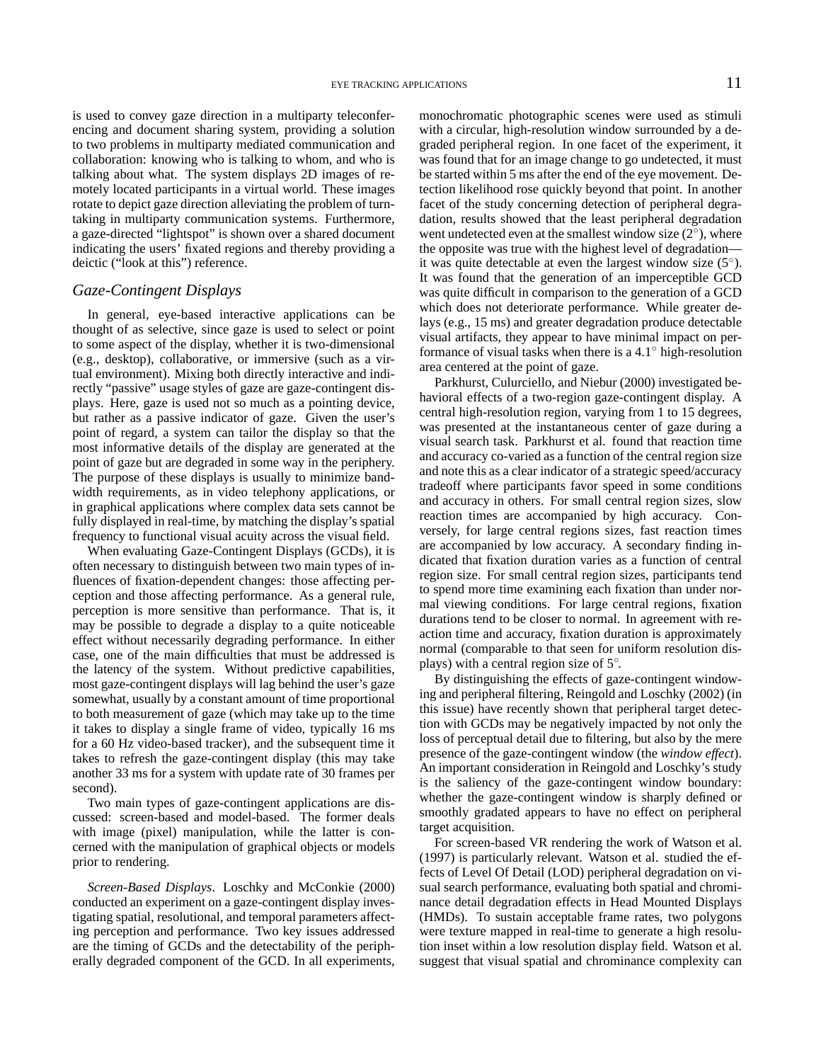is used to convey gaze direction in a multiparty teleconferencing and document sharing system, providing a solution to two problems in multiparty mediated communication and collaboration: knowing who is talking to whom, and who is talking about what. The system displays 2D images of remotely located participants in a virtual world. These images rotate to depict gaze direction alleviating the problem of turntaking in multiparty communication systems. Furthermore, a gaze-directed "lightspot" is shown over a shared document indicating the users' fixated regions and thereby providing a deictic ("look at this") reference.

## *Gaze-Contingent Displays*

In general, eye-based interactive applications can be thought of as selective, since gaze is used to select or point to some aspect of the display, whether it is two-dimensional (e.g., desktop), collaborative, or immersive (such as a virtual environment). Mixing both directly interactive and indirectly "passive" usage styles of gaze are gaze-contingent displays. Here, gaze is used not so much as a pointing device, but rather as a passive indicator of gaze. Given the user's point of regard, a system can tailor the display so that the most informative details of the display are generated at the point of gaze but are degraded in some way in the periphery. The purpose of these displays is usually to minimize bandwidth requirements, as in video telephony applications, or in graphical applications where complex data sets cannot be fully displayed in real-time, by matching the display's spatial frequency to functional visual acuity across the visual field.

When evaluating Gaze-Contingent Displays (GCDs), it is often necessary to distinguish between two main types of influences of fixation-dependent changes: those affecting perception and those affecting performance. As a general rule, perception is more sensitive than performance. That is, it may be possible to degrade a display to a quite noticeable effect without necessarily degrading performance. In either case, one of the main difficulties that must be addressed is the latency of the system. Without predictive capabilities, most gaze-contingent displays will lag behind the user's gaze somewhat, usually by a constant amount of time proportional to both measurement of gaze (which may take up to the time it takes to display a single frame of video, typically 16 ms for a 60 Hz video-based tracker), and the subsequent time it takes to refresh the gaze-contingent display (this may take another 33 ms for a system with update rate of 30 frames per second).

Two main types of gaze-contingent applications are discussed: screen-based and model-based. The former deals with image (pixel) manipulation, while the latter is concerned with the manipulation of graphical objects or models prior to rendering.

*Screen-Based Displays*. Loschky and McConkie (2000) conducted an experiment on a gaze-contingent display investigating spatial, resolutional, and temporal parameters affecting perception and performance. Two key issues addressed are the timing of GCDs and the detectability of the peripherally degraded component of the GCD. In all experiments, monochromatic photographic scenes were used as stimuli with a circular, high-resolution window surrounded by a degraded peripheral region. In one facet of the experiment, it was found that for an image change to go undetected, it must be started within 5 ms after the end of the eye movement. Detection likelihood rose quickly beyond that point. In another facet of the study concerning detection of peripheral degradation, results showed that the least peripheral degradation went undetected even at the smallest window size  $(2^{\circ})$ , where the opposite was true with the highest level of degradation it was quite detectable at even the largest window size  $(5^{\circ})$ . It was found that the generation of an imperceptible GCD was quite difficult in comparison to the generation of a GCD which does not deteriorate performance. While greater delays (e.g., 15 ms) and greater degradation produce detectable visual artifacts, they appear to have minimal impact on performance of visual tasks when there is a  $4.1°$  high-resolution area centered at the point of gaze.

Parkhurst, Culurciello, and Niebur (2000) investigated behavioral effects of a two-region gaze-contingent display. A central high-resolution region, varying from 1 to 15 degrees, was presented at the instantaneous center of gaze during a visual search task. Parkhurst et al. found that reaction time and accuracy co-varied as a function of the central region size and note this as a clear indicator of a strategic speed/accuracy tradeoff where participants favor speed in some conditions and accuracy in others. For small central region sizes, slow reaction times are accompanied by high accuracy. Conversely, for large central regions sizes, fast reaction times are accompanied by low accuracy. A secondary finding indicated that fixation duration varies as a function of central region size. For small central region sizes, participants tend to spend more time examining each fixation than under normal viewing conditions. For large central regions, fixation durations tend to be closer to normal. In agreement with reaction time and accuracy, fixation duration is approximately normal (comparable to that seen for uniform resolution displays) with a central region size of 5°.

By distinguishing the effects of gaze-contingent windowing and peripheral filtering, Reingold and Loschky (2002) (in this issue) have recently shown that peripheral target detection with GCDs may be negatively impacted by not only the loss of perceptual detail due to filtering, but also by the mere presence of the gaze-contingent window (the *window effect*). An important consideration in Reingold and Loschky's study is the saliency of the gaze-contingent window boundary: whether the gaze-contingent window is sharply defined or smoothly gradated appears to have no effect on peripheral target acquisition.

For screen-based VR rendering the work of Watson et al. (1997) is particularly relevant. Watson et al. studied the effects of Level Of Detail (LOD) peripheral degradation on visual search performance, evaluating both spatial and chrominance detail degradation effects in Head Mounted Displays (HMDs). To sustain acceptable frame rates, two polygons were texture mapped in real-time to generate a high resolution inset within a low resolution display field. Watson et al. suggest that visual spatial and chrominance complexity can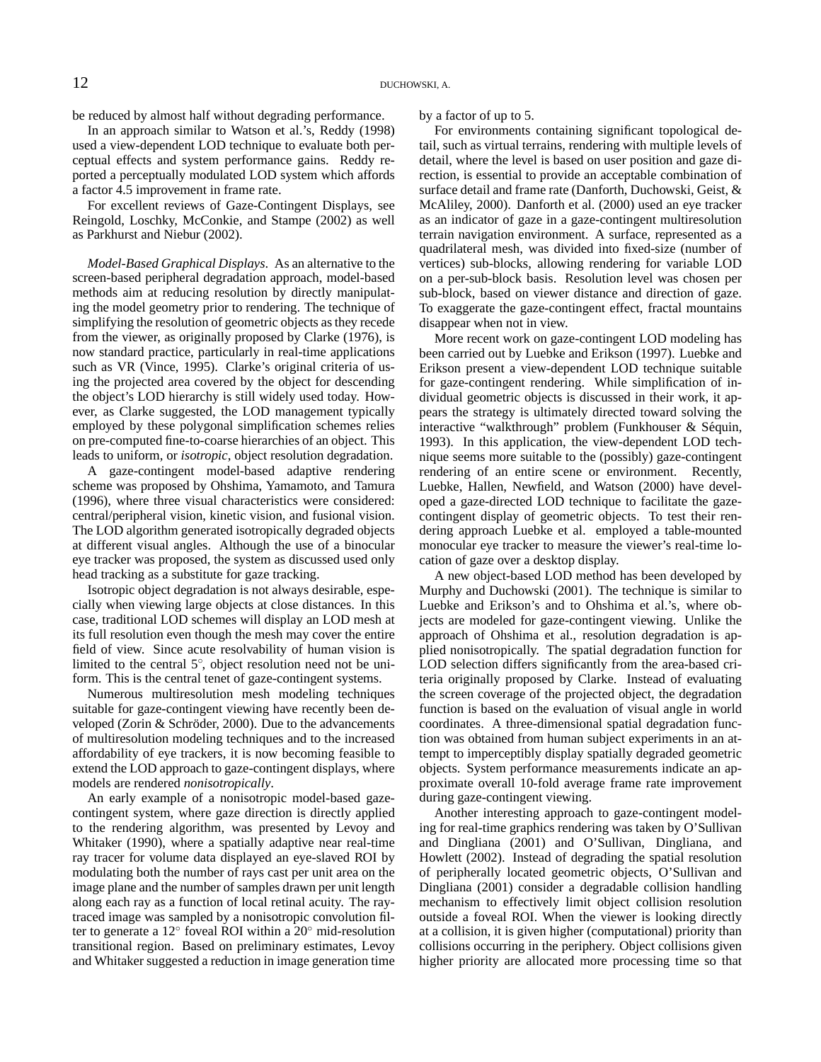be reduced by almost half without degrading performance.

In an approach similar to Watson et al.'s, Reddy (1998) used a view-dependent LOD technique to evaluate both perceptual effects and system performance gains. Reddy reported a perceptually modulated LOD system which affords a factor 4.5 improvement in frame rate.

For excellent reviews of Gaze-Contingent Displays, see Reingold, Loschky, McConkie, and Stampe (2002) as well as Parkhurst and Niebur (2002).

*Model-Based Graphical Displays*. As an alternative to the screen-based peripheral degradation approach, model-based methods aim at reducing resolution by directly manipulating the model geometry prior to rendering. The technique of simplifying the resolution of geometric objects asthey recede from the viewer, as originally proposed by Clarke (1976), is now standard practice, particularly in real-time applications such as VR (Vince, 1995). Clarke's original criteria of using the projected area covered by the object for descending the object's LOD hierarchy is still widely used today. However, as Clarke suggested, the LOD management typically employed by these polygonal simplification schemes relies on pre-computed fine-to-coarse hierarchies of an object. This leads to uniform, or *isotropic*, object resolution degradation.

A gaze-contingent model-based adaptive rendering scheme was proposed by Ohshima, Yamamoto, and Tamura (1996), where three visual characteristics were considered: central/peripheral vision, kinetic vision, and fusional vision. The LOD algorithm generated isotropically degraded objects at different visual angles. Although the use of a binocular eye tracker was proposed, the system as discussed used only head tracking as a substitute for gaze tracking.

Isotropic object degradation is not always desirable, especially when viewing large objects at close distances. In this case, traditional LOD schemes will display an LOD mesh at its full resolution even though the mesh may cover the entire field of view. Since acute resolvability of human vision is limited to the central  $5^\circ$ , object resolution need not be uniform. This is the central tenet of gaze-contingent systems.

Numerous multiresolution mesh modeling techniques suitable for gaze-contingent viewing have recently been developed (Zorin & Schröder, 2000). Due to the advancements of multiresolution modeling techniques and to the increased affordability of eye trackers, it is now becoming feasible to extend the LOD approach to gaze-contingent displays, where models are rendered *nonisotropically*.

An early example of a nonisotropic model-based gazecontingent system, where gaze direction is directly applied to the rendering algorithm, was presented by Levoy and Whitaker (1990), where a spatially adaptive near real-time ray tracer for volume data displayed an eye-slaved ROI by modulating both the number of rays cast per unit area on the image plane and the number of samples drawn per unit length along each ray as a function of local retinal acuity. The raytraced image was sampled by a nonisotropic convolution filter to generate a 12◦ foveal ROI within a 20◦ mid-resolution transitional region. Based on preliminary estimates, Levoy and Whitaker suggested a reduction in image generation time by a factor of up to 5.

For environments containing significant topological detail, such as virtual terrains, rendering with multiple levels of detail, where the level is based on user position and gaze direction, is essential to provide an acceptable combination of surface detail and frame rate (Danforth, Duchowski, Geist, & McAliley, 2000). Danforth et al. (2000) used an eye tracker as an indicator of gaze in a gaze-contingent multiresolution terrain navigation environment. A surface, represented as a quadrilateral mesh, was divided into fixed-size (number of vertices) sub-blocks, allowing rendering for variable LOD on a per-sub-block basis. Resolution level was chosen per sub-block, based on viewer distance and direction of gaze. To exaggerate the gaze-contingent effect, fractal mountains disappear when not in view.

More recent work on gaze-contingent LOD modeling has been carried out by Luebke and Erikson (1997). Luebke and Erikson present a view-dependent LOD technique suitable for gaze-contingent rendering. While simplification of individual geometric objects is discussed in their work, it appears the strategy is ultimately directed toward solving the interactive "walkthrough" problem (Funkhouser & Séquin, 1993). In this application, the view-dependent LOD technique seems more suitable to the (possibly) gaze-contingent rendering of an entire scene or environment. Recently, Luebke, Hallen, Newfield, and Watson (2000) have developed a gaze-directed LOD technique to facilitate the gazecontingent display of geometric objects. To test their rendering approach Luebke et al. employed a table-mounted monocular eye tracker to measure the viewer's real-time location of gaze over a desktop display.

A new object-based LOD method has been developed by Murphy and Duchowski (2001). The technique is similar to Luebke and Erikson's and to Ohshima et al.'s, where objects are modeled for gaze-contingent viewing. Unlike the approach of Ohshima et al., resolution degradation is applied nonisotropically. The spatial degradation function for LOD selection differs significantly from the area-based criteria originally proposed by Clarke. Instead of evaluating the screen coverage of the projected object, the degradation function is based on the evaluation of visual angle in world coordinates. A three-dimensional spatial degradation function was obtained from human subject experiments in an attempt to imperceptibly display spatially degraded geometric objects. System performance measurements indicate an approximate overall 10-fold average frame rate improvement during gaze-contingent viewing.

Another interesting approach to gaze-contingent modeling for real-time graphics rendering was taken by O'Sullivan and Dingliana (2001) and O'Sullivan, Dingliana, and Howlett (2002). Instead of degrading the spatial resolution of peripherally located geometric objects, O'Sullivan and Dingliana (2001) consider a degradable collision handling mechanism to effectively limit object collision resolution outside a foveal ROI. When the viewer is looking directly at a collision, it is given higher (computational) priority than collisions occurring in the periphery. Object collisions given higher priority are allocated more processing time so that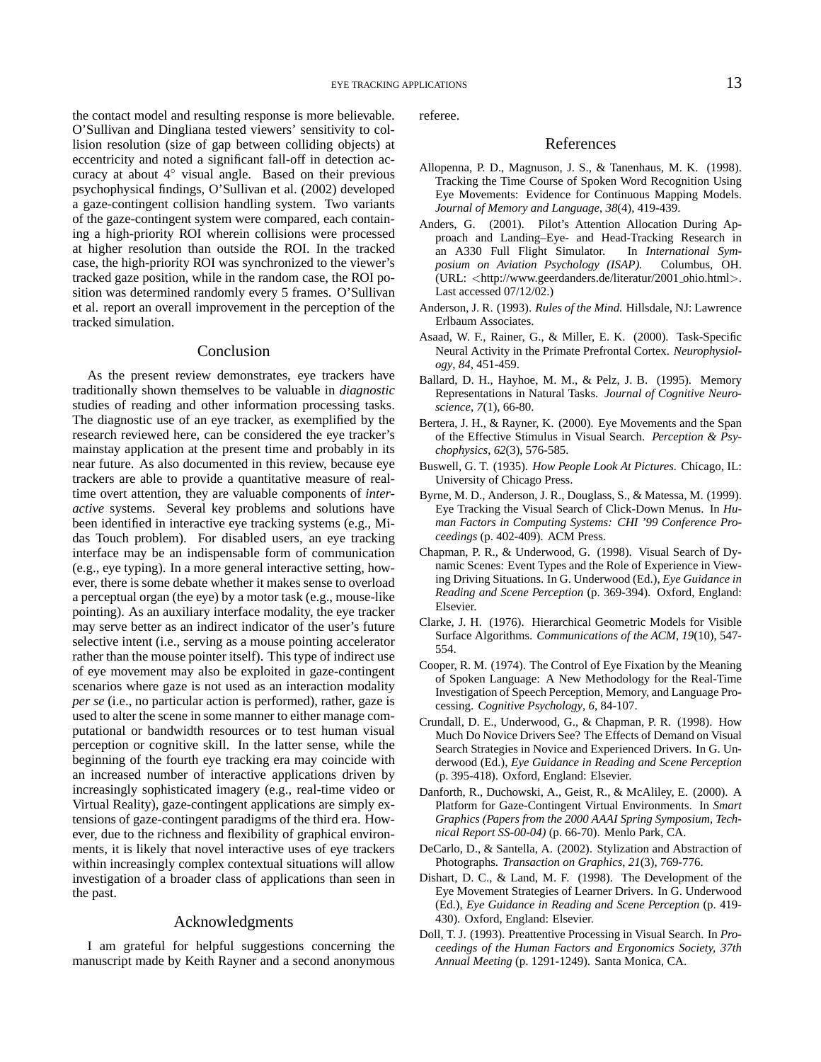the contact model and resulting response is more believable. O'Sullivan and Dingliana tested viewers' sensitivity to collision resolution (size of gap between colliding objects) at eccentricity and noted a significant fall-off in detection accuracy at about 4 ◦ visual angle. Based on their previous psychophysical findings, O'Sullivan et al. (2002) developed a gaze-contingent collision handling system. Two variants of the gaze-contingent system were compared, each containing a high-priority ROI wherein collisions were processed at higher resolution than outside the ROI. In the tracked case, the high-priority ROI was synchronized to the viewer's tracked gaze position, while in the random case, the ROI position was determined randomly every 5 frames. O'Sullivan et al. report an overall improvement in the perception of the tracked simulation.

#### Conclusion

As the present review demonstrates, eye trackers have traditionally shown themselves to be valuable in *diagnostic* studies of reading and other information processing tasks. The diagnostic use of an eye tracker, as exemplified by the research reviewed here, can be considered the eye tracker's mainstay application at the present time and probably in its near future. As also documented in this review, because eye trackers are able to provide a quantitative measure of realtime overt attention, they are valuable components of *interactive* systems. Several key problems and solutions have been identified in interactive eye tracking systems (e.g., Midas Touch problem). For disabled users, an eye tracking interface may be an indispensable form of communication (e.g., eye typing). In a more general interactive setting, however, there is some debate whether it makes sense to overload a perceptual organ (the eye) by a motor task (e.g., mouse-like pointing). As an auxiliary interface modality, the eye tracker may serve better as an indirect indicator of the user's future selective intent (i.e., serving as a mouse pointing accelerator rather than the mouse pointer itself). This type of indirect use of eye movement may also be exploited in gaze-contingent scenarios where gaze is not used as an interaction modality *per se* (i.e., no particular action is performed), rather, gaze is used to alter the scene in some manner to either manage computational or bandwidth resources or to test human visual perception or cognitive skill. In the latter sense, while the beginning of the fourth eye tracking era may coincide with an increased number of interactive applications driven by increasingly sophisticated imagery (e.g., real-time video or Virtual Reality), gaze-contingent applications are simply extensions of gaze-contingent paradigms of the third era. However, due to the richness and flexibility of graphical environments, it is likely that novel interactive uses of eye trackers within increasingly complex contextual situations will allow investigation of a broader class of applications than seen in the past.

## Acknowledgments

I am grateful for helpful suggestions concerning the manuscript made by Keith Rayner and a second anonymous referee.

#### References

- Allopenna, P. D., Magnuson, J. S., & Tanenhaus, M. K. (1998). Tracking the Time Course of Spoken Word Recognition Using Eye Movements: Evidence for Continuous Mapping Models. *Journal of Memory and Language*, *38*(4), 419-439.
- Anders, G. (2001). Pilot's Attention Allocation During Approach and Landing–Eye- and Head-Tracking Research in an A330 Full Flight Simulator. In *International Symposium on Aviation Psychology (ISAP).* Columbus, OH. (URL: <http://www.geerdanders.de/literatur/2001 ohio.html>. Last accessed 07/12/02.)
- Anderson, J. R. (1993). *Rules of the Mind.* Hillsdale, NJ: Lawrence Erlbaum Associates.
- Asaad, W. F., Rainer, G., & Miller, E. K. (2000). Task-Specific Neural Activity in the Primate Prefrontal Cortex. *Neurophysiology*, *84*, 451-459.
- Ballard, D. H., Hayhoe, M. M., & Pelz, J. B. (1995). Memory Representations in Natural Tasks. *Journal of Cognitive Neuroscience*, *7*(1), 66-80.
- Bertera, J. H., & Rayner, K. (2000). Eye Movements and the Span of the Effective Stimulus in Visual Search. *Perception & Psychophysics*, *62*(3), 576-585.
- Buswell, G. T. (1935). *How People Look At Pictures.* Chicago, IL: University of Chicago Press.
- Byrne, M. D., Anderson, J. R., Douglass, S., & Matessa, M. (1999). Eye Tracking the Visual Search of Click-Down Menus. In *Human Factors in Computing Systems: CHI '99 Conference Proceedings* (p. 402-409). ACM Press.
- Chapman, P. R., & Underwood, G. (1998). Visual Search of Dynamic Scenes: Event Types and the Role of Experience in Viewing Driving Situations. In G. Underwood (Ed.), *Eye Guidance in Reading and Scene Perception* (p. 369-394). Oxford, England: Elsevier.
- Clarke, J. H. (1976). Hierarchical Geometric Models for Visible Surface Algorithms. *Communications of the ACM*, *19*(10), 547- 554.
- Cooper, R. M. (1974). The Control of Eye Fixation by the Meaning of Spoken Language: A New Methodology for the Real-Time Investigation of Speech Perception, Memory, and Language Processing. *Cognitive Psychology*, *6*, 84-107.
- Crundall, D. E., Underwood, G., & Chapman, P. R. (1998). How Much Do Novice Drivers See? The Effects of Demand on Visual Search Strategies in Novice and Experienced Drivers. In G. Underwood (Ed.), *Eye Guidance in Reading and Scene Perception* (p. 395-418). Oxford, England: Elsevier.
- Danforth, R., Duchowski, A., Geist, R., & McAliley, E. (2000). A Platform for Gaze-Contingent Virtual Environments. In *Smart Graphics (Papers from the 2000 AAAI Spring Symposium, Technical Report SS-00-04)* (p. 66-70). Menlo Park, CA.
- DeCarlo, D., & Santella, A. (2002). Stylization and Abstraction of Photographs. *Transaction on Graphics*, *21*(3), 769-776.
- Dishart, D. C., & Land, M. F. (1998). The Development of the Eye Movement Strategies of Learner Drivers. In G. Underwood (Ed.), *Eye Guidance in Reading and Scene Perception* (p. 419- 430). Oxford, England: Elsevier.
- Doll, T. J. (1993). Preattentive Processing in Visual Search. In *Proceedings of the Human Factors and Ergonomics Society, 37th Annual Meeting* (p. 1291-1249). Santa Monica, CA.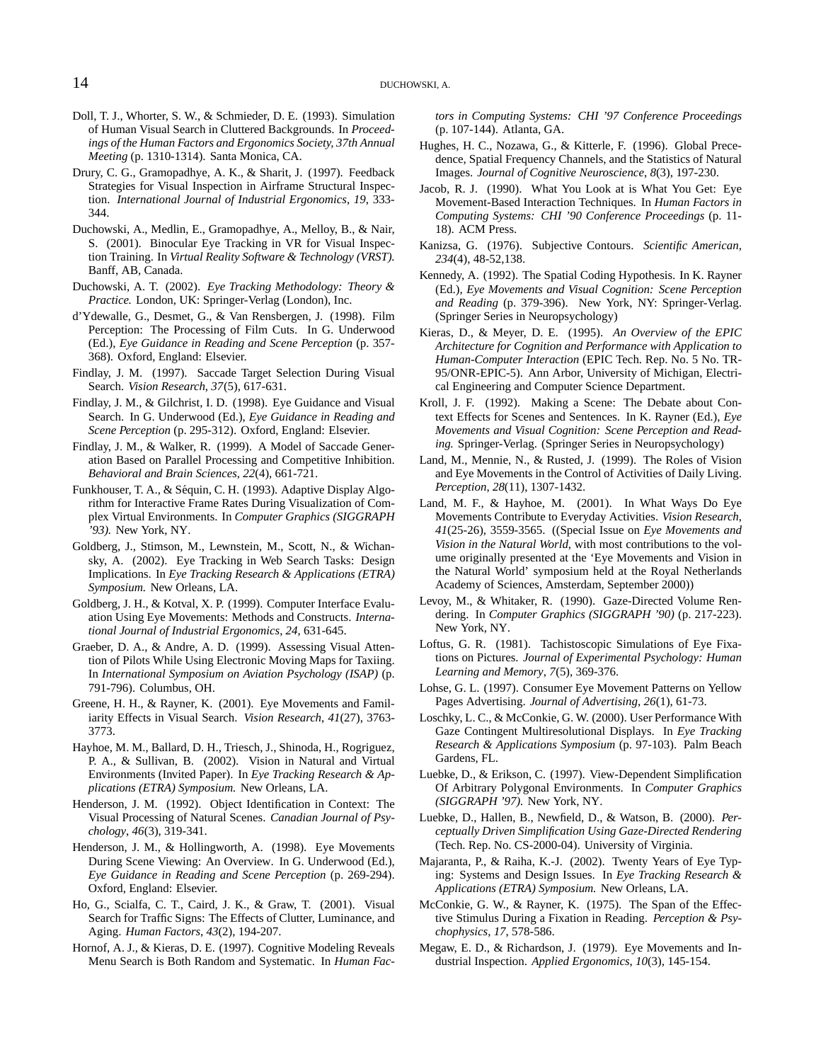- Doll, T. J., Whorter, S. W., & Schmieder, D. E. (1993). Simulation of Human Visual Search in Cluttered Backgrounds. In *Proceedings of the Human Factors and Ergonomics Society, 37th Annual Meeting* (p. 1310-1314). Santa Monica, CA.
- Drury, C. G., Gramopadhye, A. K., & Sharit, J. (1997). Feedback Strategies for Visual Inspection in Airframe Structural Inspection. *International Journal of Industrial Ergonomics*, *19*, 333- 344.
- Duchowski, A., Medlin, E., Gramopadhye, A., Melloy, B., & Nair, S. (2001). Binocular Eye Tracking in VR for Visual Inspection Training. In *Virtual Reality Software & Technology (VRST).* Banff, AB, Canada.
- Duchowski, A. T. (2002). *Eye Tracking Methodology: Theory & Practice.* London, UK: Springer-Verlag (London), Inc.
- d'Ydewalle, G., Desmet, G., & Van Rensbergen, J. (1998). Film Perception: The Processing of Film Cuts. In G. Underwood (Ed.), *Eye Guidance in Reading and Scene Perception* (p. 357- 368). Oxford, England: Elsevier.
- Findlay, J. M. (1997). Saccade Target Selection During Visual Search. *Vision Research*, *37*(5), 617-631.
- Findlay, J. M., & Gilchrist, I. D. (1998). Eye Guidance and Visual Search. In G. Underwood (Ed.), *Eye Guidance in Reading and Scene Perception* (p. 295-312). Oxford, England: Elsevier.
- Findlay, J. M., & Walker, R. (1999). A Model of Saccade Generation Based on Parallel Processing and Competitive Inhibition. *Behavioral and Brain Sciences*, *22*(4), 661-721.
- Funkhouser, T. A., & Séquin, C. H. (1993). Adaptive Display Algorithm for Interactive Frame Rates During Visualization of Complex Virtual Environments. In *Computer Graphics (SIGGRAPH '93).* New York, NY.
- Goldberg, J., Stimson, M., Lewnstein, M., Scott, N., & Wichansky, A. (2002). Eye Tracking in Web Search Tasks: Design Implications. In *Eye Tracking Research & Applications (ETRA) Symposium.* New Orleans, LA.
- Goldberg, J. H., & Kotval, X. P. (1999). Computer Interface Evaluation Using Eye Movements: Methods and Constructs. *International Journal of Industrial Ergonomics*, *24*, 631-645.
- Graeber, D. A., & Andre, A. D. (1999). Assessing Visual Attention of Pilots While Using Electronic Moving Maps for Taxiing. In *International Symposium on Aviation Psychology (ISAP)* (p. 791-796). Columbus, OH.
- Greene, H. H., & Rayner, K. (2001). Eye Movements and Familiarity Effects in Visual Search. *Vision Research*, *41*(27), 3763- 3773.
- Hayhoe, M. M., Ballard, D. H., Triesch, J., Shinoda, H., Rogriguez, P. A., & Sullivan, B. (2002). Vision in Natural and Virtual Environments (Invited Paper). In *Eye Tracking Research & Applications (ETRA) Symposium.* New Orleans, LA.
- Henderson, J. M. (1992). Object Identification in Context: The Visual Processing of Natural Scenes. *Canadian Journal of Psychology*, *46*(3), 319-341.
- Henderson, J. M., & Hollingworth, A. (1998). Eye Movements During Scene Viewing: An Overview. In G. Underwood (Ed.), *Eye Guidance in Reading and Scene Perception* (p. 269-294). Oxford, England: Elsevier.
- Ho, G., Scialfa, C. T., Caird, J. K., & Graw, T. (2001). Visual Search for Traffic Signs: The Effects of Clutter, Luminance, and Aging. *Human Factors*, *43*(2), 194-207.
- Hornof, A. J., & Kieras, D. E. (1997). Cognitive Modeling Reveals Menu Search is Both Random and Systematic. In *Human Fac-*

*tors in Computing Systems: CHI '97 Conference Proceedings* (p. 107-144). Atlanta, GA.

- Hughes, H. C., Nozawa, G., & Kitterle, F. (1996). Global Precedence, Spatial Frequency Channels, and the Statistics of Natural Images. *Journal of Cognitive Neuroscience*, *8*(3), 197-230.
- Jacob, R. J. (1990). What You Look at is What You Get: Eye Movement-Based Interaction Techniques. In *Human Factors in Computing Systems: CHI '90 Conference Proceedings* (p. 11- 18). ACM Press.
- Kanizsa, G. (1976). Subjective Contours. *Scientific American*, *234*(4), 48-52,138.
- Kennedy, A. (1992). The Spatial Coding Hypothesis. In K. Rayner (Ed.), *Eye Movements and Visual Cognition: Scene Perception and Reading* (p. 379-396). New York, NY: Springer-Verlag. (Springer Series in Neuropsychology)
- Kieras, D., & Meyer, D. E. (1995). *An Overview of the EPIC Architecture for Cognition and Performance with Application to Human-Computer Interaction* (EPIC Tech. Rep. No. 5 No. TR-95/ONR-EPIC-5). Ann Arbor, University of Michigan, Electrical Engineering and Computer Science Department.
- Kroll, J. F. (1992). Making a Scene: The Debate about Context Effects for Scenes and Sentences. In K. Rayner (Ed.), *Eye Movements and Visual Cognition: Scene Perception and Reading.* Springer-Verlag. (Springer Series in Neuropsychology)
- Land, M., Mennie, N., & Rusted, J. (1999). The Roles of Vision and Eye Movements in the Control of Activities of Daily Living. *Perception*, *28*(11), 1307-1432.
- Land, M. F., & Hayhoe, M. (2001). In What Ways Do Eye Movements Contribute to Everyday Activities. *Vision Research*, *41*(25-26), 3559-3565. ((Special Issue on *Eye Movements and Vision in the Natural World*, with most contributions to the volume originally presented at the 'Eye Movements and Vision in the Natural World' symposium held at the Royal Netherlands Academy of Sciences, Amsterdam, September 2000))
- Levoy, M., & Whitaker, R. (1990). Gaze-Directed Volume Rendering. In *Computer Graphics (SIGGRAPH '90)* (p. 217-223). New York, NY.
- Loftus, G. R. (1981). Tachistoscopic Simulations of Eye Fixations on Pictures. *Journal of Experimental Psychology: Human Learning and Memory*, *7*(5), 369-376.
- Lohse, G. L. (1997). Consumer Eye Movement Patterns on Yellow Pages Advertising. *Journal of Advertising*, *26*(1), 61-73.
- Loschky, L. C., & McConkie, G. W. (2000). User Performance With Gaze Contingent Multiresolutional Displays. In *Eye Tracking Research & Applications Symposium* (p. 97-103). Palm Beach Gardens, FL.
- Luebke, D., & Erikson, C. (1997). View-Dependent Simplification Of Arbitrary Polygonal Environments. In *Computer Graphics (SIGGRAPH '97).* New York, NY.
- Luebke, D., Hallen, B., Newfield, D., & Watson, B. (2000). *Perceptually Driven Simplification Using Gaze-Directed Rendering* (Tech. Rep. No. CS-2000-04). University of Virginia.
- Majaranta, P., & Raiha, K.-J. (2002). Twenty Years of Eye Typing: Systems and Design Issues. In *Eye Tracking Research & Applications (ETRA) Symposium.* New Orleans, LA.
- McConkie, G. W., & Rayner, K. (1975). The Span of the Effective Stimulus During a Fixation in Reading. *Perception & Psychophysics*, *17*, 578-586.
- Megaw, E. D., & Richardson, J. (1979). Eye Movements and Industrial Inspection. *Applied Ergonomics*, *10*(3), 145-154.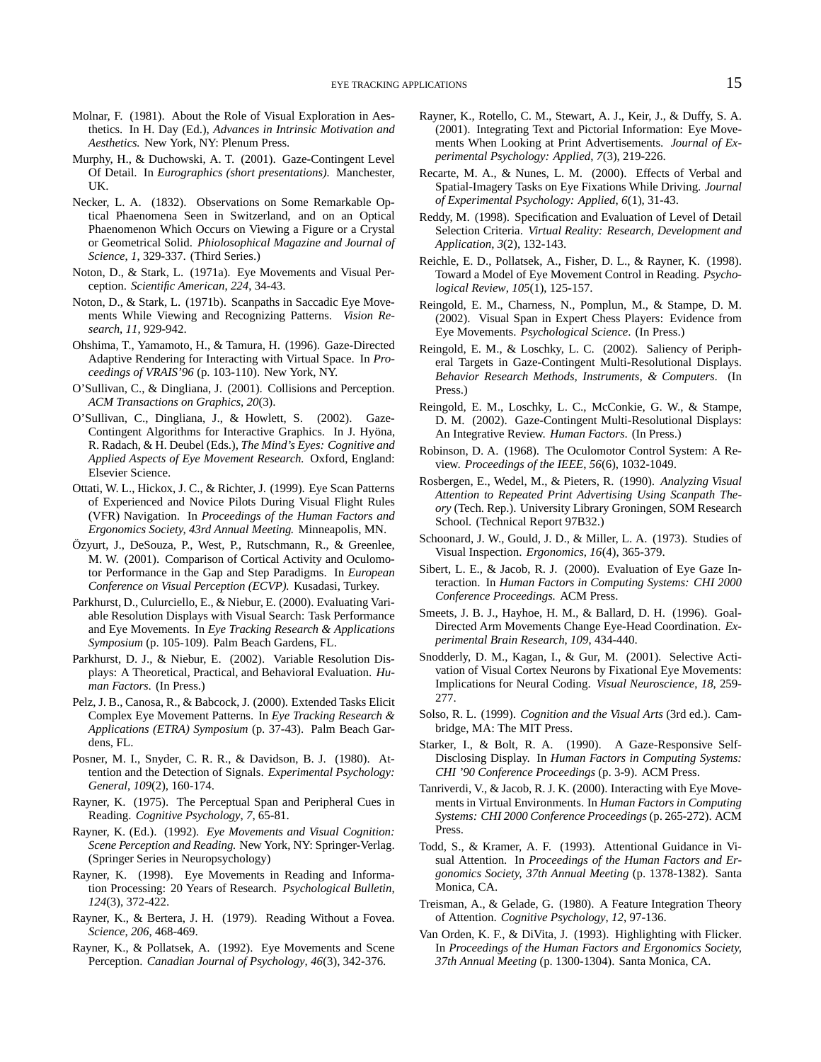- Molnar, F. (1981). About the Role of Visual Exploration in Aesthetics. In H. Day (Ed.), *Advances in Intrinsic Motivation and Aesthetics.* New York, NY: Plenum Press.
- Murphy, H., & Duchowski, A. T. (2001). Gaze-Contingent Level Of Detail. In *Eurographics (short presentations).* Manchester, UK.
- Necker, L. A. (1832). Observations on Some Remarkable Optical Phaenomena Seen in Switzerland, and on an Optical Phaenomenon Which Occurs on Viewing a Figure or a Crystal or Geometrical Solid. *Phiolosophical Magazine and Journal of Science*, *1*, 329-337. (Third Series.)
- Noton, D., & Stark, L. (1971a). Eye Movements and Visual Perception. *Scientific American*, *224*, 34-43.
- Noton, D., & Stark, L. (1971b). Scanpaths in Saccadic Eye Movements While Viewing and Recognizing Patterns. *Vision Research*, *11*, 929-942.
- Ohshima, T., Yamamoto, H., & Tamura, H. (1996). Gaze-Directed Adaptive Rendering for Interacting with Virtual Space. In *Proceedings of VRAIS'96* (p. 103-110). New York, NY.
- O'Sullivan, C., & Dingliana, J. (2001). Collisions and Perception. *ACM Transactions on Graphics*, *20*(3).
- O'Sullivan, C., Dingliana, J., & Howlett, S. (2002). Gaze-Contingent Algorithms for Interactive Graphics. In J. Hyöna, R. Radach, & H. Deubel (Eds.), *The Mind's Eyes: Cognitive and Applied Aspects of Eye Movement Research.* Oxford, England: Elsevier Science.
- Ottati, W. L., Hickox, J. C., & Richter, J. (1999). Eye Scan Patterns of Experienced and Novice Pilots During Visual Flight Rules (VFR) Navigation. In *Proceedings of the Human Factors and Ergonomics Society, 43rd Annual Meeting.* Minneapolis, MN.
- Özyurt, J., DeSouza, P., West, P., Rutschmann, R., & Greenlee, M. W. (2001). Comparison of Cortical Activity and Oculomotor Performance in the Gap and Step Paradigms. In *European Conference on Visual Perception (ECVP).* Kusadasi, Turkey.
- Parkhurst, D., Culurciello, E., & Niebur, E. (2000). Evaluating Variable Resolution Displays with Visual Search: Task Performance and Eye Movements. In *Eye Tracking Research & Applications Symposium* (p. 105-109). Palm Beach Gardens, FL.
- Parkhurst, D. J., & Niebur, E. (2002). Variable Resolution Displays: A Theoretical, Practical, and Behavioral Evaluation. *Human Factors*. (In Press.)
- Pelz, J. B., Canosa, R., & Babcock, J. (2000). Extended Tasks Elicit Complex Eye Movement Patterns. In *Eye Tracking Research & Applications (ETRA) Symposium* (p. 37-43). Palm Beach Gardens, FL.
- Posner, M. I., Snyder, C. R. R., & Davidson, B. J. (1980). Attention and the Detection of Signals. *Experimental Psychology: General*, *109*(2), 160-174.
- Rayner, K. (1975). The Perceptual Span and Peripheral Cues in Reading. *Cognitive Psychology*, *7*, 65-81.
- Rayner, K. (Ed.). (1992). *Eye Movements and Visual Cognition: Scene Perception and Reading.* New York, NY: Springer-Verlag. (Springer Series in Neuropsychology)
- Rayner, K. (1998). Eye Movements in Reading and Information Processing: 20 Years of Research. *Psychological Bulletin*, *124*(3), 372-422.
- Rayner, K., & Bertera, J. H. (1979). Reading Without a Fovea. *Science*, *206*, 468-469.
- Rayner, K., & Pollatsek, A. (1992). Eye Movements and Scene Perception. *Canadian Journal of Psychology*, *46*(3), 342-376.
- Rayner, K., Rotello, C. M., Stewart, A. J., Keir, J., & Duffy, S. A. (2001). Integrating Text and Pictorial Information: Eye Movements When Looking at Print Advertisements. *Journal of Experimental Psychology: Applied*, *7*(3), 219-226.
- Recarte, M. A., & Nunes, L. M. (2000). Effects of Verbal and Spatial-Imagery Tasks on Eye Fixations While Driving. *Journal of Experimental Psychology: Applied*, *6*(1), 31-43.
- Reddy, M. (1998). Specification and Evaluation of Level of Detail Selection Criteria. *Virtual Reality: Research, Development and Application*, *3*(2), 132-143.
- Reichle, E. D., Pollatsek, A., Fisher, D. L., & Rayner, K. (1998). Toward a Model of Eye Movement Control in Reading. *Psychological Review*, *105*(1), 125-157.
- Reingold, E. M., Charness, N., Pomplun, M., & Stampe, D. M. (2002). Visual Span in Expert Chess Players: Evidence from Eye Movements. *Psychological Science*. (In Press.)
- Reingold, E. M., & Loschky, L. C. (2002). Saliency of Peripheral Targets in Gaze-Contingent Multi-Resolutional Displays. *Behavior Research Methods, Instruments, & Computers*. (In Press.)
- Reingold, E. M., Loschky, L. C., McConkie, G. W., & Stampe, D. M. (2002). Gaze-Contingent Multi-Resolutional Displays: An Integrative Review. *Human Factors*. (In Press.)
- Robinson, D. A. (1968). The Oculomotor Control System: A Review. *Proceedings of the IEEE*, *56*(6), 1032-1049.
- Rosbergen, E., Wedel, M., & Pieters, R. (1990). *Analyzing Visual Attention to Repeated Print Advertising Using Scanpath Theory* (Tech. Rep.). University Library Groningen, SOM Research School. (Technical Report 97B32.)
- Schoonard, J. W., Gould, J. D., & Miller, L. A. (1973). Studies of Visual Inspection. *Ergonomics*, *16*(4), 365-379.
- Sibert, L. E., & Jacob, R. J. (2000). Evaluation of Eye Gaze Interaction. In *Human Factors in Computing Systems: CHI 2000 Conference Proceedings.* ACM Press.
- Smeets, J. B. J., Hayhoe, H. M., & Ballard, D. H. (1996). Goal-Directed Arm Movements Change Eye-Head Coordination. *Experimental Brain Research*, *109*, 434-440.
- Snodderly, D. M., Kagan, I., & Gur, M. (2001). Selective Activation of Visual Cortex Neurons by Fixational Eye Movements: Implications for Neural Coding. *Visual Neuroscience*, *18*, 259- 277.
- Solso, R. L. (1999). *Cognition and the Visual Arts* (3rd ed.). Cambridge, MA: The MIT Press.
- Starker, I., & Bolt, R. A. (1990). A Gaze-Responsive Self-Disclosing Display. In *Human Factors in Computing Systems: CHI '90 Conference Proceedings* (p. 3-9). ACM Press.
- Tanriverdi, V., & Jacob, R. J. K. (2000). Interacting with Eye Movements in Virtual Environments. In *Human Factors in Computing Systems: CHI 2000 Conference Proceedings* (p. 265-272). ACM Press.
- Todd, S., & Kramer, A. F. (1993). Attentional Guidance in Visual Attention. In *Proceedings of the Human Factors and Ergonomics Society, 37th Annual Meeting* (p. 1378-1382). Santa Monica, CA.
- Treisman, A., & Gelade, G. (1980). A Feature Integration Theory of Attention. *Cognitive Psychology*, *12*, 97-136.
- Van Orden, K. F., & DiVita, J. (1993). Highlighting with Flicker. In *Proceedings of the Human Factors and Ergonomics Society, 37th Annual Meeting* (p. 1300-1304). Santa Monica, CA.